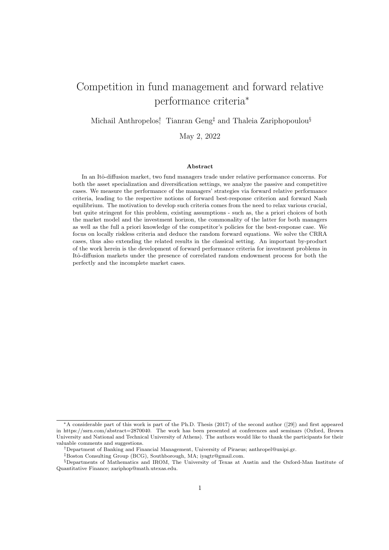# Competition in fund management and forward relative performance criteria<sup>∗</sup>

Michail Anthropelos<sup>†</sup> Tianran Geng<sup>‡</sup> and Thaleia Zariphopoulou<sup>§</sup>

May 2, 2022

#### Abstract

In an Itô-diffusion market, two fund managers trade under relative performance concerns. For both the asset specialization and diversification settings, we analyze the passive and competitive cases. We measure the performance of the managers' strategies via forward relative performance criteria, leading to the respective notions of forward best-response criterion and forward Nash equilibrium. The motivation to develop such criteria comes from the need to relax various crucial, but quite stringent for this problem, existing assumptions - such as, the a priori choices of both the market model and the investment horizon, the commonality of the latter for both managers as well as the full a priori knowledge of the competitor's policies for the best-response case. We focus on locally riskless criteria and deduce the random forward equations. We solve the CRRA cases, thus also extending the related results in the classical setting. An important by-product of the work herein is the development of forward performance criteria for investment problems in Itô-diffusion markets under the presence of correlated random endowment process for both the perfectly and the incomplete market cases.

<sup>∗</sup>A considerable part of this work is part of the Ph.D. Thesis (2017) of the second author ([29]) and first appeared in https://ssrn.com/abstract=2870040. The work has been presented at conferences and seminars (Oxford, Brown University and National and Technical University of Athens). The authors would like to thank the participants for their valuable comments and suggestions.

<sup>†</sup>Department of Banking and Financial Management, University of Piraeus; anthropel@unipi.gr.

<sup>‡</sup>Boston Consulting Group (BCG), Southborough, MA; iyagtr@gmail.com.

<sup>§</sup>Departments of Mathematics and IROM, The University of Texas at Austin and the Oxford-Man Institute of Quantitative Finance; zariphop@math.utexas.edu.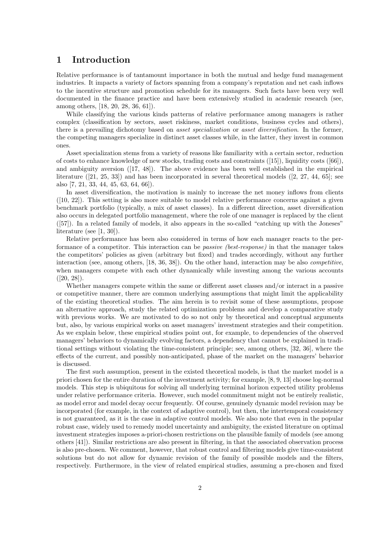### 1 Introduction

Relative performance is of tantamount importance in both the mutual and hedge fund management industries. It impacts a variety of factors spanning from a company's reputation and net cash inflows to the incentive structure and promotion schedule for its managers. Such facts have been very well documented in the finance practice and have been extensively studied in academic research (see, among others, [18, 20, 28, 36, 61]).

While classifying the various kinds patterns of relative performance among managers is rather complex (classification by sectors, asset riskiness, market conditions, business cycles and others), there is a prevailing dichotomy based on asset specialization or asset diversification. In the former, the competing managers specialize in distinct asset classes while, in the latter, they invest in common ones.

Asset specialization stems from a variety of reasons like familiarity with a certain sector, reduction of costs to enhance knowledge of new stocks, trading costs and constraints ([15]), liquidity costs ([66]), and ambiguity aversion ([17, 48]). The above evidence has been well established in the empirical literature ([21, 25, 33]) and has been incorporated in several theoretical models ([2, 27, 44, 65]; see also [7, 21, 33, 44, 45, 63, 64, 66]).

In asset diversification, the motivation is mainly to increase the net money inflows from clients ([10, 22]). This setting is also more suitable to model relative performance concerns against a given benchmark portfolio (typically, a mix of asset classes). In a different direction, asset diversification also occurs in delegated portfolio management, where the role of one manager is replaced by the client ([57]). In a related family of models, it also appears in the so-called "catching up with the Joneses" literature (see [1, 30]).

Relative performance has been also considered in terms of how each manager reacts to the performance of a competitor. This interaction can be passive (best-response) in that the manager takes the competitors' policies as given (arbitrary but fixed) and trades accordingly, without any further interaction (see, among others, [18, 36, 38]). On the other hand, interaction may be also competitive, when managers compete with each other dynamically while investing among the various accounts  $([20, 28]).$ 

Whether managers compete within the same or different asset classes and/or interact in a passive or competitive manner, there are common underlying assumptions that might limit the applicability of the existing theoretical studies. The aim herein is to revisit some of these assumptions, propose an alternative approach, study the related optimization problems and develop a comparative study with previous works. We are motivated to do so not only by theoretical and conceptual arguments but, also, by various empirical works on asset managers' investment strategies and their competition. As we explain below, these empirical studies point out, for example, to dependencies of the observed managers' behaviors to dynamically evolving factors, a dependency that cannot be explained in traditional settings without violating the time-consistent principle; see, among others, [32, 36], where the effects of the current, and possibly non-anticipated, phase of the market on the managers' behavior is discussed.

The first such assumption, present in the existed theoretical models, is that the market model is a priori chosen for the entire duration of the investment activity; for example, [8, 9, 13] choose log-normal models. This step is ubiquitous for solving all underlying terminal horizon expected utility problems under relative performance criteria. However, such model commitment might not be entirely realistic, as model error and model decay occur frequently. Of course, genuinely dynamic model revision may be incorporated (for example, in the context of adaptive control), but then, the intertemporal consistency is not guaranteed, as it is the case in adaptive control models. We also note that even in the popular robust case, widely used to remedy model uncertainty and ambiguity, the existed literature on optimal investment strategies imposes a-priori-chosen restrictions on the plausible family of models (see among others [41]). Similar restrictions are also present in filtering, in that the associated observation process is also pre-chosen. We comment, however, that robust control and filtering models give time-consistent solutions but do not allow for dynamic revision of the family of possible models and the filters, respectively. Furthermore, in the view of related empirical studies, assuming a pre-chosen and fixed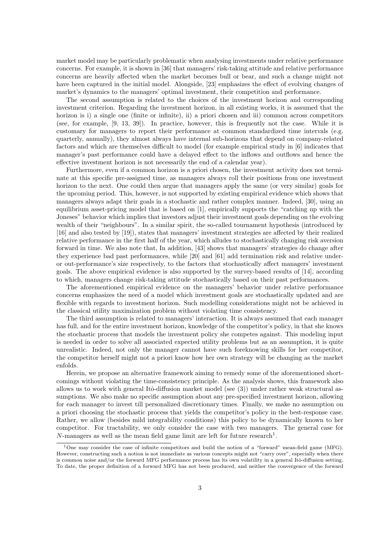market model may be particularly problematic when analysing investments under relative performance concerns. For example, it is shown in [36] that managers' risk-taking attitude and relative performance concerns are heavily affected when the market becomes bull or bear, and such a change might not have been captured in the initial model. Alongside, [23] emphasizes the effect of evolving changes of market's dynamics to the managers' optimal investment, their competition and performance.

The second assumption is related to the choices of the investment horizon and corresponding investment criterion. Regarding the investment horizon, in all existing works, it is assumed that the horizon is i) a single one (finite or infinite), ii) a priori chosen and iii) common across competitors (see, for example, [9, 13, 39]). In practice, however, this is frequently not the case. While it is customary for managers to report their performance at common standardized time intervals (e.g. quarterly, annually), they almost always have internal sub-horizons that depend on company-related factors and which are themselves difficult to model (for example empirical study in [6] indicates that manager's past performance could have a delayed effect to the inflows and outflows and hence the effective investment horizon is not necessarily the end of a calendar year).

Furthermore, even if a common horizon is a priori chosen, the investment activity does not terminate at this specific pre-assigned time, as managers always roll their positions from one investment horizon to the next. One could then argue that managers apply the same (or very similar) goals for the upcoming period. This, however, is not supported by existing empirical evidence which shows that managers always adapt their goals in a stochastic and rather complex manner. Indeed, [30], using an equilibrium asset-pricing model that is based on [1], empirically supports the "catching up with the Joneses" behavior which implies that investors adjust their investment goals depending on the evolving wealth of their "neighbours". In a similar spirit, the so-called tournament hypothesis (introduced by [16] and also tested by [19]), states that managers' investment strategies are affected by their realized relative performance in the first half of the year, which alludes to stochastically changing risk aversion forward in time. We also note that, In addition, [43] shows that managers' strategies do change after they experience bad past performances, while [20] and [61] add termination risk and relative underor out-performance's size respectively, to the factors that stochastically affect managers' investment goals. The above empirical evidence is also supported by the survey-based results of [14], according to which, managers change risk-taking attitude stochastically based on their past performances.

The aforementioned empirical evidence on the managers' behavior under relative performance concerns emphasizes the need of a model which investment goals are stochastically updated and are flexible with regards to investment horizon. Such modelling considerations might not be achieved in the classical utility maximization problem without violating time consistency.

The third assumption is related to managers' interaction. It is always assumed that each manager has full, and for the entire investment horizon, knowledge of the competitor's policy, in that she knows the stochastic process that models the investment policy she competes against. This modeling input is needed in order to solve all associated expected utility problems but as an assumption, it is quite unrealistic. Indeed, not only the manager cannot have such foreknowing skills for her competitor, the competitor herself might not a priori know how her own strategy will be changing as the market enfolds.

Herein, we propose an alternative framework aiming to remedy some of the aforementioned shortcomings without violating the time-consistency principle. As the analysis shows, this framework also allows us to work with general Itô-diffusion market model (see  $(3)$ ) under rather weak structural assumptions. We also make no specific assumption about any pre-specified investment horizon, allowing for each manager to invest till personalized discretionary times. Finally, we make no assumption on a priori choosing the stochastic process that yields the competitor's policy in the best-response case. Rather, we allow (besides mild integrability conditions) this policy to be dynamically known to her competitor. For tractability, we only consider the case with two managers. The general case for N-managers as well as the mean field game limit are left for future research<sup>1</sup>.

<sup>1</sup>One may consider the case of infinite competitors and build the notion of a "forward" mean-field game (MFG). However, constructing such a notion is not immediate as various concepts might not "carry over", especially when there is common noise and/or the forward MFG performance process has its own volatility in a general Itô-diffusion setting. To date, the proper definition of a forward MFG has not been produced, and neither the convergence of the forward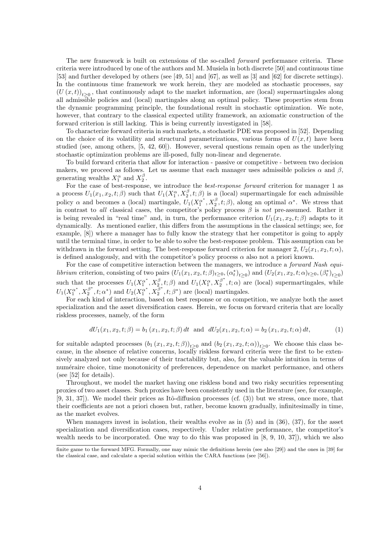The new framework is built on extensions of the so-called *forward* performance criteria. These criteria were introduced by one of the authors and M. Musiela in both discrete [50] and continuous time [53] and further developed by others (see [49, 51] and [67], as well as [3] and [62] for discrete settings). In the continuous time framework we work herein, they are modeled as stochastic processes, say  $(U(x,t))_{t\geq0}$ , that continuously adapt to the market information, are (local) supermartingales along all admissible policies and (local) martingales along an optimal policy. These properties stem from the dynamic programming principle, the foundational result in stochastic optimization. We note, however, that contrary to the classical expected utility framework, an axiomatic construction of the forward criterion is still lacking. This is being currently investigated in [58].

To characterize forward criteria in such markets, a stochastic PDE was proposed in [52]. Depending on the choice of its volatility and structural parametrizations, various forms of  $U(x, t)$  have been studied (see, among others, [5, 42, 60]). However, several questions remain open as the underlying stochastic optimization problems are ill-posed, fully non-linear and degenerate.

To build forward criteria that allow for interaction - passive or competitive - between two decision makers, we proceed as follows. Let us assume that each manager uses admissible policies  $\alpha$  and  $\beta$ , generating wealths  $X_1^{\alpha}$  and  $X_2^{\beta}$ .

For the case of best-response, we introduce the best-response forward criterion for manager 1 as a process  $U_1(x_1, x_2, t; \beta)$  such that  $U_1(X_1^{\alpha}, X_2^{\beta}, t; \beta)$  is a (local) supermartingale for each admissible policy  $\alpha$  and becomes a (local) martingale,  $U_1(X_1^{\alpha^*}, X_2^{\beta}, t; \beta)$ , along an optimal  $\alpha^*$ . We stress that in contrast to all classical cases, the competitor's policy process  $\beta$  is not pre-assumed. Rather it is being revealed in "real time" and, in turn, the performance criterion  $U_1(x_1, x_2, t; \beta)$  adapts to it dynamically. As mentioned earlier, this differs from the assumptions in the classical settings; see, for example, [8]) where a manager has to fully know the strategy that her competitor is going to apply until the terminal time, in order to be able to solve the best-response problem. This assumption can be withdrawn in the forward setting. The best-response forward criterion for manager 2,  $U_2(x_1, x_2, t; \alpha)$ , is defined analogously, and with the competitor's policy process  $\alpha$  also not a priori known.

For the case of competitive interaction between the managers, we introduce a *forward Nash equi*librium criterion, consisting of two pairs  $(U_1(x_1, x_2, t; \beta)_{t\geq 0}, (\alpha_t^*)_{t\geq 0})$  and  $(U_2(x_1, x_2, t; \alpha)_{t\geq 0}, (\beta_t^*)_{t\geq 0})$ such that the processes  $U_1(X_1^{\alpha^*}, X_2^{\beta}, t; \beta)$  and  $U_1(X_1^{\alpha}, X_2^{\beta^*})$  $\binom{p}{2}$ ,  $t; \alpha$  are (local) supermartingales, while  $U_1({X_1^{\alpha}}^*, {X_2^{\beta}}^*$  $U_2(X_1^{\alpha^*}, X_2^{\overline{\beta}^*})$  and  $U_2(X_1^{\alpha^*}, X_2^{\overline{\beta}^*})$  $\mathcal{L}_2^{\beta^*}, t; \beta^*$  are (local) martingales.

For each kind of interaction, based on best response or on competition, we analyze both the asset specialization and the asset diversification cases. Herein, we focus on forward criteria that are locally riskless processes, namely, of the form

$$
dU_1(x_1, x_2, t; \beta) = b_1(x_1, x_2, t; \beta) dt \text{ and } dU_2(x_1, x_2, t; \alpha) = b_2(x_1, x_2, t; \alpha) dt,
$$
 (1)

for suitable adapted processes  $(b_1(x_1, x_2, t; \beta))_{t \geq 0}$  and  $(b_2(x_1, x_2, t; \alpha))_{t \geq 0}$ . We choose this class because, in the absence of relative concerns, locally riskless forward criteria were the first to be extensively analyzed not only because of their tractability but, also, for the valuable intuition in terms of num´eraire choice, time monotonicity of preferences, dependence on market performance, and others (see [52] for details).

Throughout, we model the market having one riskless bond and two risky securities representing proxies of two asset classes. Such proxies have been consistently used in the literature (see, for example,  $[9, 31, 37]$ . We model their prices as Itô-diffusion processes (cf.  $(3)$ ) but we stress, once more, that their coefficients are not a priori chosen but, rather, become known gradually, infinitesimally in time, as the market evolves.

When managers invest in isolation, their wealths evolve as in (5) and in (36), (37), for the asset specialization and diversification cases, respectively. Under relative performance, the competitor's wealth needs to be incorporated. One way to do this was proposed in [8, 9, 10, 37]), which we also

finite game to the forward MFG. Formally, one may mimic the definitions herein (see also [29]) and the ones in [39] for the classical case, and calculate a special solution within the CARA functions (see [56]).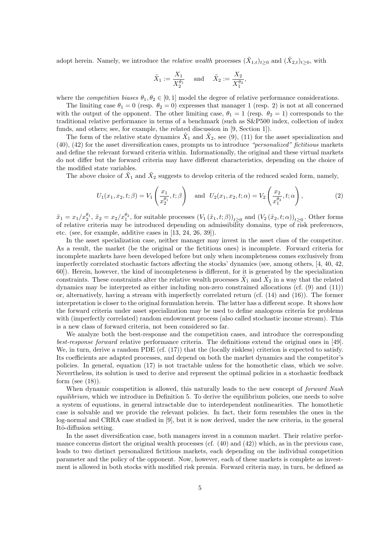adopt herein. Namely, we introduce the *relative wealth* processes  $(\tilde{X}_{1,t})_{t\geq0}$  and  $(\tilde{X}_{2,t})_{t\geq0}$ , with

$$
\tilde{X}_1 := \frac{X_1}{X_2^{\theta_1}} \quad \text{ and } \quad \tilde{X}_2 := \frac{X_2}{X_1^{\theta_2}},
$$

where the *competition biases*  $\theta_1, \theta_2 \in [0, 1]$  model the degree of relative performance considerations.

The limiting case  $\theta_1 = 0$  (resp.  $\theta_2 = 0$ ) expresses that manager 1 (resp. 2) is not at all concerned with the output of the opponent. The other limiting case,  $\theta_1 = 1$  (resp.  $\theta_2 = 1$ ) corresponds to the traditional relative performance in terms of a benchmark (such as S&P500 index, collection of index funds, and others; see, for example, the related discussion in [9, Section 1]).

The form of the relative state dynamics  $\tilde{X}_1$  and  $\tilde{X}_2$ , see (9), (11) for the asset specialization and (40), (42) for the asset diversification cases, prompts us to introduce "personalized" fictitious markets and define the relevant forward criteria within. Informationally, the original and these virtual markets do not differ but the forward criteria may have different characteristics, depending on the choice of the modified state variables.

The above choice of  $\tilde{X}_1$  and  $\tilde{X}_2$  suggests to develop criteria of the reduced scaled form, namely,

$$
U_1(x_1, x_2, t; \beta) = V_1\left(\frac{x_1}{x_2^{\theta_1}}, t; \beta\right) \text{ and } U_2(x_1, x_2, t; \alpha) = V_2\left(\frac{x_2}{x_1^{\theta_2}}, t; \alpha\right),\tag{2}
$$

 $\tilde{x}_1 = x_1/x_2^{\theta_1}, \, \tilde{x}_2 = x_2/x_1^{\theta_2}$ , for suitable processes  $(V_1(\tilde{x}_1, t; \beta))_{t \geq 0}$  and  $(V_2(\tilde{x}_2, t; \alpha))_{t \geq 0}$ . Other forms of relative criteria may be introduced depending on admissibility domains, type of risk preferences, etc. (see, for example, additive cases in [13, 24, 26, 39]).

In the asset specialization case, neither manager may invest in the asset class of the competitor. As a result, the market (be the original or the fictitious ones) is incomplete. Forward criteria for incomplete markets have been developed before but only when incompleteness comes exclusively from imperfectly correlated stochastic factors affecting the stocks' dynamics (see, among others, [4, 40, 42, 60]). Herein, however, the kind of incompleteness is different, for it is generated by the specialization constraints. These constraints alter the relative wealth processes  $\tilde{X}_1$  and  $\tilde{X}_2$  in a way that the related dynamics may be interpreted as either including non-zero constrained allocations (cf. (9) and (11)) or, alternatively, having a stream with imperfectly correlated return (cf. (14) and (16)). The former interpretation is closer to the original formulation herein. The latter has a different scope. It shows how the forward criteria under asset specialization may be used to define analogous criteria for problems with (imperfectly correlated) random endowment process (also called stochastic income stream). This is a new class of forward criteria, not been considered so far.

We analyze both the best-response and the competition cases, and introduce the corresponding best-response forward relative performance criteria. The definitions extend the original ones in [49]. We, in turn, derive a random PDE (cf. (17)) that the (locally riskless) criterion is expected to satisfy. Its coefficients are adapted processes, and depend on both the market dynamics and the competitor's policies. In general, equation (17) is not tractable unless for the homothetic class, which we solve. Nevertheless, its solution is used to derive and represent the optimal policies in a stochastic feedback form (see  $(18)$ ).

When dynamic competition is allowed, this naturally leads to the new concept of *forward Nash* equilibrium, which we introduce in Definition 5. To derive the equilibrium policies, one needs to solve a system of equations, in general intractable due to interdependent nonlinearities. The homothetic case is solvable and we provide the relevant policies. In fact, their form resembles the ones in the log-normal and CRRA case studied in [9], but it is now derived, under the new criteria, in the general Itô-diffusion setting.

In the asset diversification case, both managers invest in a common market. Their relative performance concerns distort the original wealth processes (cf.  $(40)$  and  $(42)$ ) which, as in the previous case, leads to two distinct personalized fictitious markets, each depending on the individual competition parameter and the policy of the opponent. Now, however, each of these markets is complete as investment is allowed in both stocks with modified risk premia. Forward criteria may, in turn, be defined as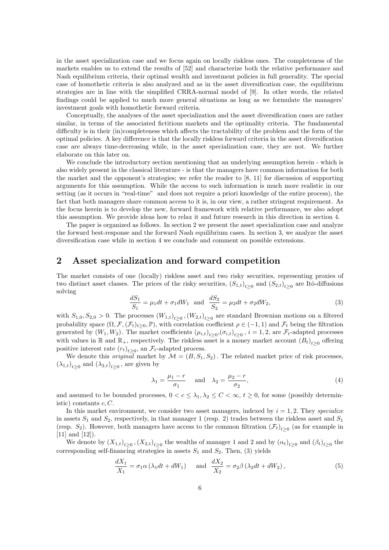in the asset specialization case and we focus again on locally riskless ones. The completeness of the markets enables us to extend the results of [52] and characterize both the relative performance and Nash equilibrium criteria, their optimal wealth and investment policies in full generality. The special case of homothetic criteria is also analyzed and as in the asset diversification case, the equilibrium strategies are in line with the simplified CRRA-normal model of [9]. In other words, the related findings could be applied to much more general situations as long as we formulate the managers' investment goals with homothetic forward criteria.

Conceptually, the analyses of the asset specialization and the asset diversification cases are rather similar, in terms of the associated fictitious markets and the optimality criteria. The fundamental difficulty is in their (in)completeness which affects the tractability of the problem and the form of the optimal policies. A key difference is that the locally riskless forward criteria in the asset diversification case are always time-decreasing while, in the asset specialization case, they are not. We further elaborate on this later on.

We conclude the introductory section mentioning that an underlying assumption herein - which is also widely present in the classical literature - is that the managers have common information for both the market and the opponent's strategies; we refer the reader to [8, 11] for discussion of supporting arguments for this assumption. While the access to such information is much more realistic in our setting (as it occurs in "real-time" and does not require a priori knowledge of the entire process), the fact that both managers share common access to it is, in our view, a rather stringent requirement. As the focus herein is to develop the new, forward framework with relative performance, we also adopt this assumption. We provide ideas how to relax it and future research in this direction in section 4.

The paper is organized as follows. In section 2 we present the asset specialization case and analyze the forward best-response and the forward Nash equilibrium cases. In section 3, we analyze the asset diversification case while in section 4 we conclude and comment on possible extensions.

### 2 Asset specialization and forward competition

The market consists of one (locally) riskless asset and two risky securities, representing proxies of two distinct asset classes. The prices of the risky securities,  $(S_{1,t})_{t\geq 0}$  and  $(S_{2,t})_{t\geq 0}$  are Itô-diffusions solving

$$
\frac{dS_1}{S_1} = \mu_1 dt + \sigma_1 dW_1 \text{ and } \frac{dS_2}{S_2} = \mu_2 dt + \sigma_2 dW_2,
$$
\n(3)

with  $S_{1,0}, S_{2,0} > 0$ . The processes  $(W_{1,t})_{t\geq 0}, (W_{2,t})_{t\geq 0}$  are standard Brownian motions on a filtered probability space  $(\Omega, \mathcal{F}, (\mathcal{F}_t)_{t\geq 0}, \mathbb{P})$ , with correlation coefficient  $\rho \in (-1, 1)$  and  $\mathcal{F}_t$  being the filtration generated by  $(W_1, W_2)$ . The market coefficients  $(\mu_{i,t})_{t\geq 0}, (\sigma_{i,t})_{t\geq 0}, i=1,2$ , are  $\mathcal{F}_t$ -adapted processes with values in R and  $\mathbb{R}_+$ , respectively. The riskless asset is a money market account  $(B_t)_{t\geq 0}$  offering positive interest rate  $(r_t)_{t\geq 0}$ , an  $\mathcal{F}_t$ -adapted process.

We denote this *original* market by  $\mathcal{M} = (B, S_1, S_2)$ . The related market price of risk processes,  $(\lambda_{1,t})_{t\geq 0}$  and  $(\lambda_{2,t})_{t\geq 0}$ , are given by

$$
\lambda_1 = \frac{\mu_1 - r}{\sigma_1} \quad \text{and} \quad \lambda_2 = \frac{\mu_2 - r}{\sigma_2},\tag{4}
$$

and assumed to be bounded processes,  $0 < c \leq \lambda_1, \lambda_2 \leq C < \infty$ ,  $t \geq 0$ , for some (possibly deterministic) constants  $c, C$ .

In this market environment, we consider two asset managers, indexed by  $i = 1, 2$ . They specialize in assets  $S_1$  and  $S_2$ , respectively, in that manager 1 (resp. 2) trades between the riskless asset and  $S_1$ (resp.  $S_2$ ). However, both managers have access to the common filtration  $(\mathcal{F}_t)_{t\geq0}$  (as for example in [11] and [12]).

We denote by  $(X_{1,t})_{t\geq0}$ ,  $(X_{2,t})_{t\geq0}$  the wealths of manager 1 and 2 and by  $(\alpha_t)_{t\geq0}$  and  $(\beta_t)_{t\geq0}$  the corresponding self-financing strategies in assets  $S_1$  and  $S_2$ . Then, (3) yields

$$
\frac{dX_1}{X_1} = \sigma_1 \alpha \left( \lambda_1 dt + dW_1 \right) \quad \text{and} \quad \frac{dX_2}{X_2} = \sigma_2 \beta \left( \lambda_2 dt + dW_2 \right),\tag{5}
$$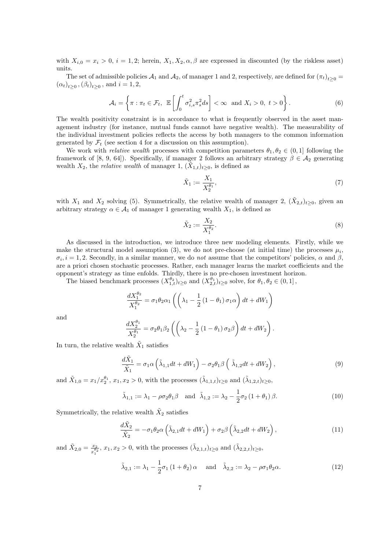with  $X_{i,0} = x_i > 0$ ,  $i = 1,2$ ; herein,  $X_1, X_2, \alpha, \beta$  are expressed in discounted (by the riskless asset) units.

The set of admissible policies  $\mathcal{A}_1$  and  $\mathcal{A}_2$ , of manager 1 and 2, respectively, are defined for  $(\pi_t)_{t\geq 0}$  $(\alpha_t)_{t \geq 0}, (\beta_t)_{t \geq 0}, \text{ and } i = 1, 2,$ 

$$
\mathcal{A}_i = \left\{ \pi : \pi_t \in \mathcal{F}_t, \ \mathbb{E}\left[\int_0^t \sigma_{i,s}^2 \pi_s^2 ds\right] < \infty \ \text{and} \ X_i > 0, \ t > 0 \right\}. \tag{6}
$$

The wealth positivity constraint is in accordance to what is frequently observed in the asset management industry (for instance, mutual funds cannot have negative wealth). The measurability of the individual investment policies reflects the access by both managers to the common information generated by  $\mathcal{F}_t$  (see section 4 for a discussion on this assumption).

We work with *relative wealth* processes with competition parameters  $\theta_1, \theta_2 \in (0, 1]$  following the framework of [8, 9, 64]). Specifically, if manager 2 follows an arbitrary strategy  $\beta \in \mathcal{A}_2$  generating wealth  $X_2$ , the *relative wealth* of manager 1,  $(\tilde{X}_{1,t})_{t\geq0}$ , is defined as

$$
\tilde{X}_1 := \frac{X_1}{X_2^{\theta_1}},\tag{7}
$$

with  $X_1$  and  $X_2$  solving (5). Symmetrically, the relative wealth of manager 2,  $(\tilde{X}_2,t)_{t\geq0}$ , given an arbitrary strategy  $\alpha \in \mathcal{A}_1$  of manager 1 generating wealth  $X_1$ , is defined as

$$
\tilde{X}_2 := \frac{X_2}{X_1^{\theta_2}}.\tag{8}
$$

As discussed in the introduction, we introduce three new modeling elements. Firstly, while we make the structural model assumption (3), we do not pre-choose (at initial time) the processes  $\mu_i$ ,  $\sigma_i$ , i = 1, 2. Secondly, in a similar manner, we do not assume that the competitors' policies,  $\alpha$  and  $\beta$ , are a priori chosen stochastic processes. Rather, each manager learns the market coefficients and the opponent's strategy as time enfolds. Thirdly, there is no pre-chosen investment horizon.

The biased benchmark processes  $(X_{1,t}^{\theta_2})_{t\geq 0}$  and  $(X_{2,t}^{\theta_1})_{t\geq 0}$  solve, for  $\theta_1, \theta_2 \in (0,1]$ ,

$$
\frac{dX_1^{\theta_2}}{X_1^{\theta_2}} = \sigma_1 \theta_2 \alpha_1 \left( \left( \lambda_1 - \frac{1}{2} \left( 1 - \theta_1 \right) \sigma_1 \alpha \right) dt + dW_1 \right)
$$

and

$$
\frac{dX_2^{\theta_1}}{X_2^{\theta_1}} = \sigma_2 \theta_1 \beta_2 \left( \left( \lambda_2 - \frac{1}{2} \left( 1 - \theta_1 \right) \sigma_2 \beta \right) dt + dW_2 \right).
$$

In turn, the relative wealth  $\tilde{X}_1$  satisfies

$$
\frac{d\tilde{X}_1}{\tilde{X}_1} = \sigma_1 \alpha \left( \tilde{\lambda}_{1,1} dt + dW_1 \right) - \sigma_2 \theta_1 \beta \left( \tilde{\lambda}_{1,2} dt + dW_2 \right),\tag{9}
$$

and  $\tilde{X}_{1,0} = x_1/x_2^{\theta_1}, x_1, x_2 > 0$ , with the processes  $(\tilde{\lambda}_{1,1,t})_{t \geq 0}$  and  $(\tilde{\lambda}_{1,2,t})_{t \geq 0}$ ,

$$
\tilde{\lambda}_{1,1} := \lambda_1 - \rho \sigma_2 \theta_1 \beta \quad \text{and} \quad \tilde{\lambda}_{1,2} := \lambda_2 - \frac{1}{2} \sigma_2 \left( 1 + \theta_1 \right) \beta. \tag{10}
$$

Symmetrically, the relative wealth  $\tilde{X}_2$  satisfies

$$
\frac{d\tilde{X}_2}{\tilde{X}_2} = -\sigma_1 \theta_2 \alpha \left( \tilde{\lambda}_{2,1} dt + dW_1 \right) + \sigma_2 \beta \left( \tilde{\lambda}_{2,2} dt + dW_2 \right),\tag{11}
$$

and  $\tilde{X}_{2,0} = \frac{x_2}{x_2}$  $\frac{x_2}{x_1^{a_2}}$ ,  $x_1, x_2 > 0$ , with the processes  $(\tilde{\lambda}_{2,1,t})_{t \geq 0}$  and  $(\tilde{\lambda}_{2,2,t})_{t \geq 0}$ ,

$$
\tilde{\lambda}_{2,1} := \lambda_1 - \frac{1}{2}\sigma_1 (1 + \theta_2) \alpha \quad \text{and} \quad \tilde{\lambda}_{2,2} := \lambda_2 - \rho \sigma_1 \theta_2 \alpha. \tag{12}
$$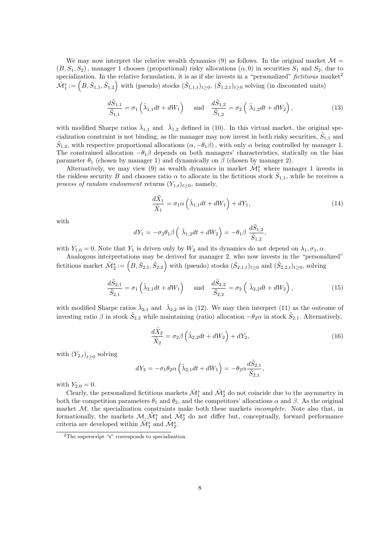We may now interpret the relative wealth dynamics (9) as follows. In the original market  $\mathcal{M} =$  $(B, S_1, S_2)$ , manager 1 chooses (proportional) risky allocations  $(\alpha, 0)$  in securities  $S_1$  and  $S_2$ , due to specialization. In the relative formulation, it is as if she invests in a "personalized" fictitious market<sup>2</sup>  $\tilde{\mathcal{M}}_1^s := (B, \tilde{S}_{1,1}, \tilde{S}_{1,2})$  with (pseudo) stocks  $(\tilde{S}_{1,1,t})_{t \geq 0}$ ,  $(\tilde{S}_{1,2,t})_{t \geq 0}$  solving (in discounted units)

$$
\frac{d\tilde{S}_{1,1}}{\tilde{S}_{1,1}} = \sigma_1 \left( \tilde{\lambda}_{1,1} dt + dW_1 \right) \quad \text{and} \quad \frac{d\tilde{S}_{1,2}}{\tilde{S}_{1,2}} = \sigma_2 \left( \tilde{\lambda}_{1,2} dt + dW_2 \right), \tag{13}
$$

with modified Sharpe ratios  $\tilde{\lambda}_{1,1}$  and  $\tilde{\lambda}_{1,2}$  defined in (10). In this virtual market, the original specialization constraint is not binding, as the manager may now invest in both risky securities,  $\tilde{S}_{1,1}$  and  $\tilde{S}_{1,2}$ , with respective proportional allocations  $(\alpha, -\theta_1\beta)$ , with only  $\alpha$  being controlled by manager 1. The constrained allocation  $-\theta_1\beta$  depends on both managers' characteristics, statically on the bias parameter  $\theta_1$  (chosen by manager 1) and dynamically on  $\beta$  (chosen by manager 2).

Alternatively, we may view (9) as wealth dynamics in market  $\tilde{\mathcal{M}}_1^s$  where manager 1 invests in the riskless security B and chooses ratio  $\alpha$  to allocate in the fictitious stock  $\tilde{S}_{1,1}$ , while he receives a process of random endowment returns  $(Y_{1,t})_{t>0}$ , namely,

$$
\frac{d\tilde{X}_1}{\tilde{X}_1} = \sigma_1 \alpha \left( \tilde{\lambda}_{1,1} dt + dW_1 \right) + dY_1,\tag{14}
$$

with

$$
dY_1 = -\sigma_2 \theta_1 \beta \left( \tilde{\lambda}_{1,2} dt + dW_2 \right) = -\theta_1 \beta \frac{d\tilde{S}_{1,2}}{\tilde{S}_{1,2}},
$$

with  $Y_{1,0} = 0$ . Note that  $Y_1$  is driven only by  $W_2$  and its dynamics do not depend on  $\lambda_1, \sigma_1, \alpha$ .

Analogous interpretations may be derived for manager 2, who now invests in the "personalized" fictitious market  $\tilde{\mathcal{M}}_2^s := (B, \tilde{S}_{2,1}, \tilde{S}_{2,2})$  with (pseudo) stocks  $(\tilde{S}_{2,1,t})_{t\geq 0}$  and  $(\tilde{S}_{2,2,t})_{t\geq 0}$ , solving

$$
\frac{d\tilde{S}_{2,1}}{\tilde{S}_{2,1}} = \sigma_1 \left( \tilde{\lambda}_{2,1} dt + dW_1 \right) \quad \text{and} \quad \frac{d\tilde{S}_{2,2}}{\tilde{S}_{2,2}} = \sigma_2 \left( \tilde{\lambda}_{2,2} dt + dW_2 \right),\tag{15}
$$

with modified Sharpe ratios  $\tilde{\lambda}_{2,1}$  and  $\tilde{\lambda}_{2,2}$  as in (12). We may then interpret (11) as the outcome of investing ratio  $\beta$  in stock  $\tilde{S}_{2,2}$  while maintaining (ratio) allocation  $-\theta_2\alpha$  in stock  $\tilde{S}_{2,1}$ . Alternatively,

$$
\frac{d\tilde{X}_2}{\tilde{X}_2} = \sigma_2 \beta \left( \tilde{\lambda}_{2,2} dt + dW_2 \right) + dY_2, \tag{16}
$$

with  $(Y_{2,t})_{t\geq 0}$  solving

$$
dY_2 = -\sigma_1 \theta_2 \alpha \left(\tilde{\lambda}_{2,1} dt + dW_1\right) = -\theta_2 \alpha \frac{d\tilde{S}_{2,1}}{\tilde{S}_{2,1}},
$$

with  $Y_{2,0} = 0$ .

Clearly, the personalized fictitious markets  $\tilde{\mathcal{M}}_1^s$  and  $\tilde{\mathcal{M}}_2^s$  do not coincide due to the asymmetry in both the competition parameters  $\theta_1$  and  $\theta_2$ , and the competitors' allocations  $\alpha$  and  $\beta$ . As the original market  $M$ , the specialization constraints make both these markets *incomplete*. Note also that, in formationally, the markets  $M_1 \tilde{M}_1^s$  and  $\tilde{M}_2^s$  do not differ but, conceptually, forward performance criteria are developed within  $\mathcal{\tilde{M}}^{s}_{1}$  and  $\mathcal{\tilde{M}}^{s}_{2}$ .

<sup>2</sup>The superscript "s" corresponds to specialization.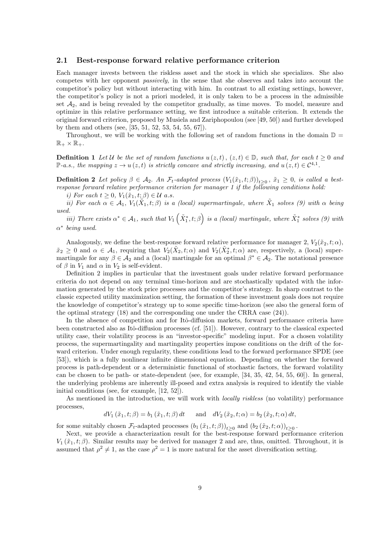#### 2.1 Best-response forward relative performance criterion

Each manager invests between the riskless asset and the stock in which she specializes. She also competes with her opponent passively, in the sense that she observes and takes into account the competitor's policy but without interacting with him. In contrast to all existing settings, however, the competitor's policy is not a priori modeled, it is only taken to be a process in the admissible set  $A_2$ , and is being revealed by the competitor gradually, as time moves. To model, measure and optimize in this relative performance setting, we first introduce a suitable criterion. It extends the original forward criterion, proposed by Musiela and Zariphopoulou (see [49, 50]) and further developed by them and others (see, [35, 51, 52, 53, 54, 55, 67]).

Throughout, we will be working with the following set of random functions in the domain  $\mathbb{D} =$  $\mathbb{R}_+ \times \mathbb{R}_+$ .

**Definition 1** Let U be the set of random functions  $u(z, t)$ ,  $(z, t) \in \mathbb{D}$ , such that, for each  $t \geq 0$  and P-a.s., the mapping  $z \to u(z,t)$  is strictly concave and strictly increasing, and  $u(z,t) \in C^{4,1}$ .

**Definition 2** Let policy  $\beta \in A_2$ . An  $\mathcal{F}_t$ -adapted process  $(V_1(\tilde{x}_1,t;\beta))_{t\geq 0}$ ,  $\tilde{x}_1 \geq 0$ , is called a bestresponse forward relative performance criterion for manager 1 if the following conditions hold:

i) For each  $t \geq 0$ ,  $V_1(\tilde{x}_1, t; \beta) \in \mathcal{U}$  a.s.

ii) For each  $\alpha \in \mathcal{A}_1$ ,  $V_1(\tilde{X}_1,t;\beta)$  is a (local) supermartingale, where  $\tilde{X}_1$  solves (9) with  $\alpha$  being used.

iii) There exists  $\alpha^* \in \mathcal{A}_1$ , such that  $V_1\left(\tilde{X}_1^*, t; \beta\right)$  is a (local) martingale, where  $\tilde{X}_1^*$  solves (9) with  $\alpha^*$  being used.

Analogously, we define the best-response forward relative performance for manager 2,  $V_2(\tilde{x}_2, t; \alpha)$ ,  $\tilde{x}_2 \geq 0$  and  $\alpha \in \mathcal{A}_1$ , requiring that  $V_2(\tilde{X}_2,t;\alpha)$  and  $V_2(\tilde{X}_2^*,t;\alpha)$  are, respectively, a (local) supermartingale for any  $\beta \in \mathcal{A}_2$  and a (local) martingale for an optimal  $\beta^* \in \mathcal{A}_2$ . The notational presence of  $\beta$  in  $V_1$  and  $\alpha$  in  $V_2$  is self-evident.

Definition 2 implies in particular that the investment goals under relative forward performance criteria do not depend on any terminal time-horizon and are stochastically updated with the information generated by the stock price processes and the competitor's strategy. In sharp contrast to the classic expected utility maximization setting, the formation of these investment goals does not require the knowledge of competitor's strategy up to some specific time-horizon (see also the general form of the optimal strategy (18) and the corresponding one under the CRRA case (24)).

In the absence of competition and for Itô-diffusion markets, forward performance criteria have been constructed also as Itô-diffusion processes (cf. [51]). However, contrary to the classical expected utility case, their volatility process is an "investor-specific" modeling input. For a chosen volatility process, the supermartingality and martingality properties impose conditions on the drift of the forward criterion. Under enough regularity, these conditions lead to the forward performance SPDE (see [53]), which is a fully nonlinear infinite dimensional equation. Depending on whether the forward process is path-dependent or a deterministic functional of stochastic factors, the forward volatility can be chosen to be path- or state-dependent (see, for example, [34, 35, 42, 54, 55, 60]). In general, the underlying problems are inherently ill-posed and extra analysis is required to identify the viable initial conditions (see, for example, [12, 52]).

As mentioned in the introduction, we will work with *locally riskless* (no volatility) performance processes,

$$
dV_1(\tilde{x}_1,t;\beta) = b_1(\tilde{x}_1,t;\beta) dt \quad \text{and} \quad dV_2(\tilde{x}_2,t;\alpha) = b_2(\tilde{x}_2,t;\alpha) dt,
$$

for some suitably chosen  $\mathcal{F}_t$ -adapted processes  $(b_1(\tilde{x}_1,t;\beta))_{t\geq 0}$  and  $(b_2(\tilde{x}_2,t;\alpha))_{t\geq 0}$ .

Next, we provide a characterization result for the best-response forward performance criterion  $V_1(\tilde{x}_1, t; \beta)$ . Similar results may be derived for manager 2 and are, thus, omitted. Throughout, it is assumed that  $\rho^2 \neq 1$ , as the case  $\rho^2 = 1$  is more natural for the asset diversification setting.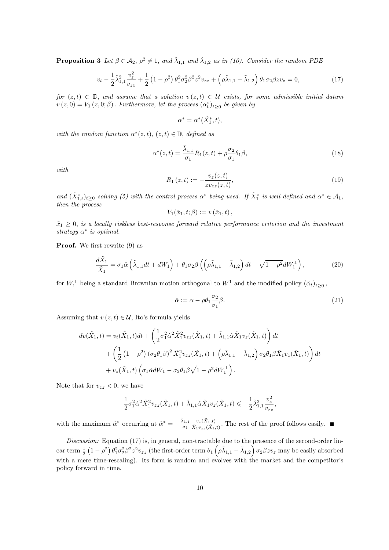**Proposition 3** Let  $\beta \in A_2$ ,  $\rho^2 \neq 1$ , and  $\tilde{\lambda}_{1,1}$  and  $\tilde{\lambda}_{1,2}$  as in (10). Consider the random PDE

$$
v_t - \frac{1}{2}\tilde{\lambda}_{1,1}^2 \frac{v_z^2}{v_{zz}} + \frac{1}{2} \left(1 - \rho^2\right) \theta_1^2 \sigma_2^2 \beta^2 z^2 v_{zz} + \left(\rho \tilde{\lambda}_{1,1} - \tilde{\lambda}_{1,2}\right) \theta_1 \sigma_2 \beta z v_z = 0,\tag{17}
$$

for  $(z,t) \in \mathbb{D}$ , and assume that a solution  $v(z,t) \in \mathcal{U}$  exists, for some admissible initial datum  $v(z,0) = V_1(z,0;\beta)$ . Furthermore, let the process  $(\alpha_t^*)_{t\geq 0}$  be given by

$$
\alpha^* = \alpha^*(\tilde{X}_1^*, t),
$$

with the random function  $\alpha^*(z,t)$ ,  $(z,t) \in \mathbb{D}$ , defined as

$$
\alpha^*(z,t) = \frac{\tilde{\lambda}_{1,1}}{\sigma_1} R_1(z,t) + \rho \frac{\sigma_2}{\sigma_1} \theta_1 \beta,
$$
\n(18)

with

$$
R_1(z,t) := -\frac{v_z(z,t)}{zv_{zz}(z,t)},
$$
\n(19)

and  $(\tilde{X}_{1,t}^*)_{t\geq0}$  solving (5) with the control process  $\alpha^*$  being used. If  $\tilde{X}_1^*$  is well defined and  $\alpha^* \in \mathcal{A}_1$ , then the process

$$
V_1(\tilde{x}_1,t;\beta) := v(\tilde{x}_1,t),
$$

 $\tilde{x}_1 \geq 0$ , is a locally riskless best-response forward relative performance criterion and the investment strategy  $\alpha^*$  is optimal.

Proof. We first rewrite (9) as

$$
\frac{d\tilde{X}_1}{\tilde{X}_1} = \sigma_1 \hat{\alpha} \left( \tilde{\lambda}_{1,1} dt + dW_1 \right) + \theta_1 \sigma_2 \beta \left( \left( \rho \tilde{\lambda}_{1,1} - \tilde{\lambda}_{1,2} \right) dt - \sqrt{1 - \rho^2} dW_1^{\perp} \right),\tag{20}
$$

for  $W_1^{\perp}$  being a standard Brownian motion orthogonal to  $W_1$  and the modified policy  $(\hat{\alpha}_t)_{t\geq 0}$ ,

$$
\hat{\alpha} := \alpha - \rho \theta_1 \frac{\sigma_2}{\sigma_1} \beta. \tag{21}
$$

Assuming that  $v(z, t) \in \mathcal{U}$ , Ito's formula yields

$$
dv(\tilde{X}_1,t) = v_t(\tilde{X}_1,t)dt + \left(\frac{1}{2}\sigma_1^2\hat{\alpha}^2\tilde{X}_1^2v_{zz}(\tilde{X}_1,t) + \tilde{\lambda}_{1,1}\hat{\alpha}\tilde{X}_1v_z(\tilde{X}_1,t)\right)dt
$$
  
+ 
$$
\left(\frac{1}{2}\left(1-\rho^2\right)(\sigma_2\theta_1\beta)^2\tilde{X}_1^2v_{zz}(\tilde{X}_1,t) + \left(\rho\tilde{\lambda}_{1,1} - \tilde{\lambda}_{1,2}\right)\sigma_2\theta_1\beta\tilde{X}_1v_z(\tilde{X}_1,t)\right)dt
$$
  
+ 
$$
v_z(\tilde{X}_1,t)\left(\sigma_1\tilde{\alpha}dW_1 - \sigma_2\theta_1\beta\sqrt{1-\rho^2}dW_1^\perp\right).
$$

Note that for  $v_{zz} < 0$ , we have

$$
\frac{1}{2}\sigma_1^2\hat{\alpha}^2\tilde{X}_1^2v_{zz}(\tilde{X}_1,t)+\tilde{\lambda}_{1,1}\hat{\alpha}\tilde{X}_1v_z(\tilde{X}_1,t)\leqslant-\frac{1}{2}\tilde{\lambda}_{1,1}^2\frac{v_z^2}{v_{zz}},
$$

with the maximum  $\hat{\alpha}^*$  occurring at  $\hat{\alpha}^* = -\frac{\tilde{\lambda}_{1,1}}{\tilde{\alpha}_{1,2}}$  $\sigma_1$  $v_z(\tilde{X}_1,t)$  $\frac{v_z(X_1,t)}{\tilde{X}_1v_{zz}(\tilde{X}_1,t)}$ . The rest of the proof follows easily.

Discussion: Equation (17) is, in general, non-tractable due to the presence of the second-order lin- $\text{ear term } \frac{1}{2} \left(1 - \rho^2\right) \theta_1^2 \sigma_2^2 \beta^2 z^2 v_{zz} \text{ (the first-order term } \theta_1 \left(\rho \tilde{\lambda}_{1,1} - \tilde{\lambda}_{1,2}\right) \sigma_2 \beta z v_z \text{ may be easily absorbed}$ with a mere time-rescaling). Its form is random and evolves with the market and the competitor's policy forward in time.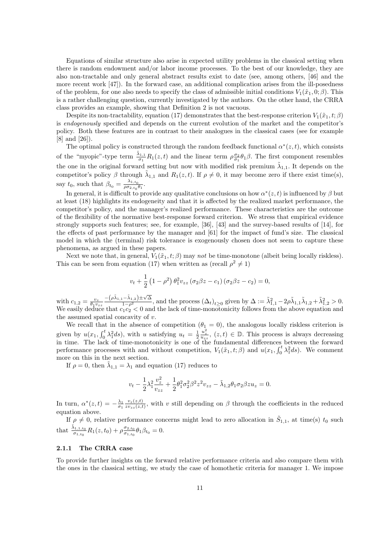Equations of similar structure also arise in expected utility problems in the classical setting when there is random endowment and/or labor income processes. To the best of our knowledge, they are also non-tractable and only general abstract results exist to date (see, among others, [46] and the more recent work [47]). In the forward case, an additional complication arises from the ill-posedness of the problem, for one also needs to specify the class of admissible initial conditions  $V_1(\tilde{x}_1, 0; \beta)$ . This is a rather challenging question, currently investigated by the authors. On the other hand, the CRRA class provides an example, showing that Definition 2 is not vacuous.

Despite its non-tractability, equation (17) demonstrates that the best-response criterion  $V_1(\tilde{x}_1, t; \beta)$ is endogenously specified and depends on the current evolution of the market and the competitor's policy. Both these features are in contrast to their analogues in the classical cases (see for example [8] and [26]).

The optimal policy is constructed through the random feedback functional  $\alpha^*(z,t)$ , which consists of the "myopic"-type term  $\frac{\tilde{\lambda}_{1,1}}{\sigma_1}R_1(z,t)$  and the linear term  $\rho \frac{\sigma_2}{\sigma_1}\theta_1\beta$ . The first component resembles the one in the original forward setting but now with modified risk premium  $\tilde{\lambda}_{1,1}$ . It depends on the competitor's policy  $\beta$  through  $\tilde{\lambda}_{1,1}$  and  $R_1(z,t)$ . If  $\rho \neq 0$ , it may become zero if there exist time(s), say  $t_0$ , such that  $\beta_{t_0} = \frac{\lambda_{1,t_0}}{\rho \sigma_{2,t_0}}$  $\frac{\lambda_{1,t_0}}{\rho \sigma_{2,t_0} \theta_1}$ .

In general, it is difficult to provide any qualitative conclusions on how  $\alpha^*(z,t)$  is influenced by  $\beta$  but at least (18) highlights its endogeneity and that it is affected by the realized market performance, the competitor's policy, and the manager's realized performance. These characteristics are the outcome of the flexibility of the normative best-response forward criterion. We stress that empirical evidence strongly supports such features; see, for example, [36], [43] and the survey-based results of [14], for the effects of past performance by the manager and [61] for the impact of fund's size. The classical model in which the (terminal) risk tolerance is exogenously chosen does not seem to capture these phenomena, as argued in these papers.

Next we note that, in general,  $V_1(\tilde{x}_1, t; \beta)$  may not be time-monotone (albeit being locally riskless). This can be seen from equation (17) when written as (recall  $\rho^2 \neq 1$ )

$$
v_t + \frac{1}{2} (1 - \rho^2) \,\theta_1^2 v_{zz} \left(\sigma_2 \beta z - c_1\right) \left(\sigma_2 \beta z - c_2\right) = 0,
$$

with  $c_{1,2} = \frac{v_z}{\theta_1 v_{zz}}$  $\frac{-(\rho\tilde{\lambda}_{1,1}-\tilde{\lambda}_{1,2})\pm\sqrt{\Delta}}{1-\rho^2}$ , and the process  $(\Delta_t)_{t\geq 0}$  given by  $\Delta := \tilde{\lambda}_{1,1}^2 - 2\rho\tilde{\lambda}_{1,1}\tilde{\lambda}_{1,2} + \tilde{\lambda}_{1,2}^2 > 0$ . We easily deduce that  $c_1c_2 < 0$  and the lack of time-monotonicity follows from the above equation and the assumed spatial concavity of  $v$ .

We recall that in the absence of competition  $(\theta_1 = 0)$ , the analogous locally riskless criterion is given by  $u(x_1, \int_0^t \lambda_1^2 ds)$ , with u satisfying  $u_t = \frac{1}{2}$  $\frac{u_z^2}{u_{zz}}, (z, t) \in \mathbb{D}$ . This process is always decreasing in time. The lack of time-monotonicity is one of the fundamental differences between the forward performance processes with and without competition,  $V_1(\tilde{x}_1,t;\beta)$  and  $u(x_1,\int_0^t \lambda_1^2 ds)$ . We comment more on this in the next section.

If  $\rho = 0$ , then  $\tilde{\lambda}_{1,1} = \lambda_1$  and equation (17) reduces to

$$
v_t - \frac{1}{2}\lambda_1^2 \frac{v_z^2}{v_{zz}} + \frac{1}{2}\theta_1^2 \sigma_2^2 \beta^2 z^2 v_{zz} - \tilde{\lambda}_{1,2}\theta_1 \sigma_2 \beta z u_z = 0.
$$

In turn,  $\alpha^*(z,t) = -\frac{\lambda_1}{\sigma_1}$  $v_z(z,t)$  $\frac{v_z(z,t)}{zv_{z(z,t)}},$  with v still depending on  $\beta$  through the coefficients in the reduced equation above.

If  $\rho \neq 0$ , relative performance concerns might lead to zero allocation in  $\tilde{S}_{1,1}$ , at time(s)  $t_0$  such that  $\frac{\tilde{\lambda}_{1,1,t_0}}{\sigma_{1,t_0}} R_1(z,t_0) + \rho \frac{\sigma_{2,t_0}}{\sigma_{1,t_0}}$  $\frac{\sigma_{2,t_0}}{\sigma_{1,t_0}}\theta_1\beta_{t_0}=0.$ 

#### 2.1.1 The CRRA case

To provide further insights on the forward relative performance criteria and also compare them with the ones in the classical setting, we study the case of homothetic criteria for manager 1. We impose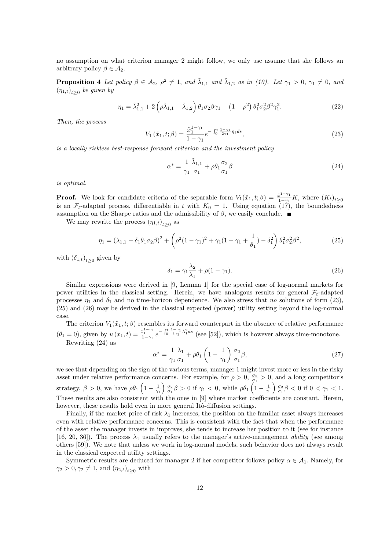no assumption on what criterion manager 2 might follow, we only use assume that she follows an arbitrary policy  $\beta \in \mathcal{A}_2$ .

**Proposition 4** Let policy  $\beta \in A_2$ ,  $\rho^2 \neq 1$ , and  $\tilde{\lambda}_{1,1}$  and  $\tilde{\lambda}_{1,2}$  as in (10). Let  $\gamma_1 > 0$ ,  $\gamma_1 \neq 0$ , and  $(\eta_{1,t})_{t\geq 0}$  be given by

$$
\eta_1 = \tilde{\lambda}_{1,1}^2 + 2\left(\rho \tilde{\lambda}_{1,1} - \tilde{\lambda}_{1,2}\right)\theta_1\sigma_2\beta\gamma_1 - \left(1 - \rho^2\right)\theta_1^2\sigma_2^2\beta^2\gamma_1^2. \tag{22}
$$

Then, the process

$$
V_1\left(\tilde{x}_1, t; \beta\right) = \frac{\tilde{x}_1^{1-\gamma_1}}{1-\gamma_1} e^{-\int_0^t \frac{1-\gamma_1}{2\gamma_1} \eta_1 ds},\tag{23}
$$

is a locally riskless best-response forward criterion and the investment policy

$$
\alpha^* = \frac{1}{\gamma_1} \frac{\tilde{\lambda}_{1,1}}{\sigma_1} + \rho \theta_1 \frac{\sigma_2}{\sigma_1} \beta \tag{24}
$$

is optimal.

**Proof.** We look for candidate criteria of the separable form  $V_1(\tilde{x}_1, t; \beta) = \frac{\tilde{x}^{1-\gamma_1}}{1-\gamma_1}$ **Proof.** We look for candidate criteria of the separable form  $V_1(\tilde{x}_1, t; \beta) = \frac{\tilde{x}^{1-\gamma_1}}{1-\gamma_1}K$ , where  $(K_t)_{t\geq 0}$  is an  $\mathcal{F}_t$ -adapted process, differentiable in t with  $K_0 = 1$ . Using equation (17), the boun assumption on the Sharpe ratios and the admissibility of  $β$ , we easily conclude. ■

We may rewrite the process  $(\eta_{1,t})_{t\geq 0}$  as

$$
\eta_1 = (\lambda_{1,1} - \delta_1 \theta_1 \sigma_2 \beta)^2 + \left(\rho^2 (1 - \gamma_1)^2 + \gamma_1 (1 - \gamma_1 + \frac{1}{\theta_1}) - \delta_1^2\right) \theta_1^2 \sigma_2^2 \beta^2, \tag{25}
$$

with  $(\delta_{1,t})_{t\geq 0}$  given by

$$
\delta_1 = \gamma_1 \frac{\lambda_2}{\lambda_1} + \rho (1 - \gamma_1). \tag{26}
$$

Similar expressions were derived in [9, Lemma 1] for the special case of log-normal markets for power utilities in the classical setting. Herein, we have analogous results for general  $\mathcal{F}_t$ -adapted processes  $\eta_1$  and  $\delta_1$  and no time-horizon dependence. We also stress that no solutions of form (23), (25) and (26) may be derived in the classical expected (power) utility setting beyond the log-normal case.

The criterion  $V_1(\tilde{x}_1, t; \beta)$  resembles its forward counterpart in the absence of relative performance  $(\theta_1 = 0)$ , given by  $u(x_1, t) = \frac{x_1^{1-\gamma_1}}{1-\gamma_1} e^{-\int_0^t \frac{1-\gamma_1}{2\gamma_1} \lambda_1^2 ds}$  (see [52]), which is however always time-monotone. Rewriting (24) as

$$
\alpha^* = \frac{1}{\gamma_1} \frac{\lambda_1}{\sigma_1} + \rho \theta_1 \left( 1 - \frac{1}{\gamma_1} \right) \frac{\sigma_2}{\sigma_1} \beta, \tag{27}
$$

we see that depending on the sign of the various terms, manager 1 might invest more or less in the risky asset under relative performance concerns. For example, for  $\rho > 0$ ,  $\frac{\sigma_2}{\sigma_1} > 0$ , and a long competitor's strategy,  $\beta > 0$ , we have  $\rho \theta_1 \left(1 - \frac{1}{\gamma_1}\right) \frac{\sigma_2}{\sigma_1} \beta > 0$  if  $\gamma_1 < 0$ , while  $\rho \theta_1 \left(1 - \frac{1}{\gamma_1}\right) \frac{\sigma_2}{\sigma_1} \beta < 0$  if  $0 < \gamma_1 < 1$ . These results are also consistent with the ones in [9] where market coefficients are constant. Herein, however, these results hold even in more general Itô-diffusion settings.

Finally, if the market price of risk  $\lambda_1$  increases, the position on the familiar asset always increases even with relative performance concerns. This is consistent with the fact that when the performance of the asset the manager invests in improves, she tends to increase her position to it (see for instance [16, 20, 36]). The process  $\lambda_1$  usually refers to the manager's active-management *ability* (see among others [59]). We note that unless we work in log-normal models, such behavior does not always result in the classical expected utility settings.

Symmetric results are deduced for manager 2 if her competitor follows policy  $\alpha \in A_1$ . Namely, for  $\gamma_2 > 0, \gamma_2 \neq 1$ , and  $(\eta_{2,t})_{t \geq 0}$  with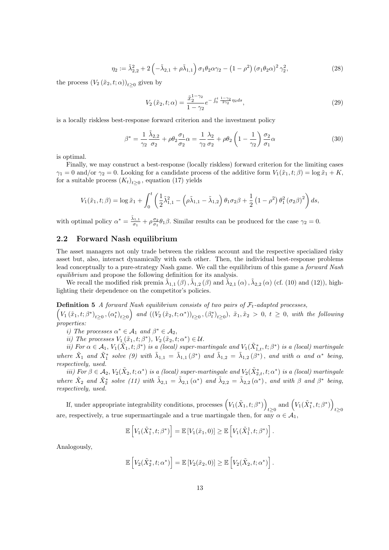$$
\eta_2 := \tilde{\lambda}_{2,2}^2 + 2 \left( -\tilde{\lambda}_{2,1} + \rho \tilde{\lambda}_{1,1} \right) \sigma_1 \theta_2 \alpha \gamma_2 - \left( 1 - \rho^2 \right) \left( \sigma_1 \theta_2 \alpha \right)^2 \gamma_2^2, \tag{28}
$$

the process  $(V_2(\tilde{x}_2, t; \alpha))_{t \geq 0}$  given by

$$
V_2\left(\tilde{x}_2, t; \alpha\right) = \frac{\tilde{x}_2^{1-\gamma_2}}{1-\gamma_2} e^{-\int_0^t \frac{1-\gamma_2}{2\gamma_2} \eta_2 ds},\tag{29}
$$

is a locally riskless best-response forward criterion and the investment policy

$$
\beta^* = \frac{1}{\gamma_2} \frac{\tilde{\lambda}_{2,2}}{\sigma_2} + \rho \theta_2 \frac{\sigma_1}{\sigma_2} \alpha = \frac{1}{\gamma_2} \frac{\lambda_2}{\sigma_2} + \rho \theta_2 \left( 1 - \frac{1}{\gamma_2} \right) \frac{\sigma_2}{\sigma_1} \alpha \tag{30}
$$

is optimal.

Finally, we may construct a best-response (locally riskless) forward criterion for the limiting cases  $\gamma_1 = 0$  and/or  $\gamma_2 = 0$ . Looking for a candidate process of the additive form  $V_1(\tilde{x}_1, t; \beta) = \log \tilde{x}_1 + K$ , for a suitable process  $(K_t)_{t\geq 0}$ , equation (17) yields

$$
V_1(\tilde{x}_1, t; \beta) = \log \tilde{x}_1 + \int_0^t \left( \frac{1}{2} \tilde{\lambda}_{1,1}^2 - \left( \rho \tilde{\lambda}_{1,1} - \tilde{\lambda}_{1,2} \right) \theta_1 \sigma_2 \beta + \frac{1}{2} \left( 1 - \rho^2 \right) \theta_1^2 \left( \sigma_2 \beta \right)^2 \right) ds,
$$

with optimal policy  $\alpha^* = \frac{\tilde{\lambda}_{1,1}}{\sigma_1}$  $\frac{\delta_{1,1}}{\sigma_1} + \rho \frac{\sigma_2}{\sigma_1} \theta_1 \beta$ . Similar results can be produced for the case  $\gamma_2 = 0$ .

### 2.2 Forward Nash equilibrium

The asset managers not only trade between the riskless account and the respective specialized risky asset but, also, interact dynamically with each other. Then, the individual best-response problems lead conceptually to a pure-strategy Nash game. We call the equilibrium of this game a *forward Nash* equilibrium and propose the following definition for its analysis.

We recall the modified risk premia  $\tilde{\lambda}_{1,1}(\beta)$ ,  $\tilde{\lambda}_{1,2}(\beta)$  and  $\tilde{\lambda}_{2,1}(\alpha)$ ,  $\tilde{\lambda}_{2,2}(\alpha)$  (cf. (10) and (12)), highlighting their dependence on the competitor's policies.

**Definition 5** A forward Nash equilibrium consists of two pairs of  $\mathcal{F}_t$ -adapted processes,

 $\left(V_1(\tilde{x}_1,t;\beta^*)_{t\geq0},(\alpha^*_t)_{t\geq0}\right)$  and  $((V_2(\tilde{x}_2,t;\alpha^*))_{t\geq0},(\beta^*_t)_{t\geq0}), \tilde{x}_1,\tilde{x}_2>0, t\geq0$ , with the following properties:

i) The processes  $\alpha^* \in \mathcal{A}_1$  and  $\beta^* \in \mathcal{A}_2$ ,

*ii*) The processes  $V_1(\tilde{x}_1, t; \beta^*)$ ,  $V_2(\tilde{x}_2, t; \alpha^*) \in \mathcal{U}$ .

ii) For  $\alpha \in A_1$ ,  $V_1(\tilde{X}_1,t;\beta^*)$  is a (local) super-martingale and  $V_1(\tilde{X}_{1,t}^*,t;\beta^*)$  is a (local) martingale where  $\tilde{X}_1$  and  $\tilde{X}_1^*$  solve (9) with  $\tilde{\lambda}_{1,1} = \tilde{\lambda}_{1,1}(\beta^*)$  and  $\tilde{\lambda}_{1,2} = \tilde{\lambda}_{1,2}(\beta^*)$ , and with  $\alpha$  and  $\alpha^*$  being, respectively, used.

iii) For  $\beta \in A_2$ ,  $V_2(\tilde{X}_2,t;\alpha^*)$  is a (local) super-martingale and  $V_2(\tilde{X}^*_{2,t},t;\alpha^*)$  is a (local) martingale where  $\tilde{X}_2$  and  $\tilde{X}_2^*$  solve (11) with  $\tilde{\lambda}_{2,1} = \tilde{\lambda}_{2,1} (\alpha^*)$  and  $\tilde{\lambda}_{2,2} = \tilde{\lambda}_{2,2} (\alpha^*)$ , and with  $\beta$  and  $\beta^*$  being, respectively, used.

If, under appropriate integrability conditions, processes  $(V_1(\tilde{X}_1, t; \beta^*))$  $\underset{t\geq 0}{\text{and}}\left(V_1(\tilde{X}_1^*, t; \beta^*)\right)$  $t\geq 0$ are, respectively, a true supermartingale and a true martingale then, for any  $\alpha \in \mathcal{A}_1$ 

$$
\mathbb{E}\left[V_1(\tilde{X}_1^*, t; \beta^*)\right] = \mathbb{E}\left[V_1(\tilde{x}_1, 0)\right] \geq \mathbb{E}\left[V_1(\tilde{X}_1^1, t; \beta^*)\right].
$$

Analogously,

$$
\mathbb{E}\left[V_2(\tilde{X}_2^*, t; \alpha^*)\right] = \mathbb{E}\left[V_2(\tilde{x}_2, 0)\right] \ge \mathbb{E}\left[V_2(\tilde{X}_2, t; \alpha^*)\right].
$$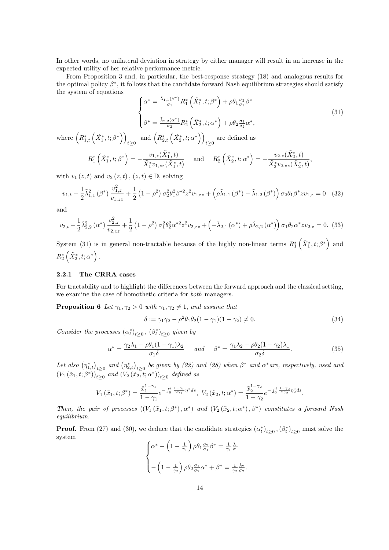In other words, no unilateral deviation in strategy by either manager will result in an increase in the expected utility of her relative performance metric.

From Proposition 3 and, in particular, the best-response strategy (18) and analogous results for the optimal policy  $\beta^*$ , it follows that the candidate forward Nash equilibrium strategies should satisfy the system of equations

$$
\begin{cases}\n\alpha^* = \frac{\tilde{\lambda}_{1,1}(\beta^*)}{\sigma_1} R_1^* \left( \tilde{X}_1^*, t; \beta^* \right) + \rho \theta_1 \frac{\sigma_2}{\sigma_1} \beta^* \\
\beta^* = \frac{\tilde{\lambda}_{2,2}(\alpha^*)}{\sigma_2} R_2^* \left( \tilde{X}_2^*, t; \alpha^* \right) + \rho \theta_2 \frac{\sigma_1}{\sigma_2} \alpha^*,\n\end{cases}
$$
\n(31)

where  $(R_{1,t}^*\left(\tilde{X}_1^*,t;\beta^*\right))$  $\lim_{t\geq 0} \text{ and } \left( R^*_{2,t} \left( \tilde{X}^*_2, t; \alpha^* \right) \right)$ are defined as  $t \geq 0$ 

$$
R_1^*\left(\tilde{X}_1^*, t; \beta^*\right) = -\frac{v_{1,z}(\tilde{X}_1^*, t)}{\tilde{X}_1^* v_{1,zz}(\tilde{X}_1^*, t)} \quad \text{ and } \quad R_2^*\left(\tilde{X}_2^*, t; \alpha^*\right) = -\frac{v_{2,z}(\tilde{X}_2^*, t)}{\tilde{X}_2^* v_{2,zz}(\tilde{X}_2^*, t)},
$$

with  $v_1(z, t)$  and  $v_2(z, t)$ ,  $(z, t) \in \mathbb{D}$ , solving

$$
v_{1,t} - \frac{1}{2}\tilde{\lambda}_{1,1}^2(\beta^*) \frac{v_{1,z}^2}{v_{1,zz}} + \frac{1}{2} \left(1 - \rho^2\right) \sigma_2^2 \theta_1^2 \beta^{*2} z^2 v_{1,zz} + \left(\rho \tilde{\lambda}_{1,1}(\beta^*) - \tilde{\lambda}_{1,2}(\beta^*)\right) \sigma_2 \theta_1 \beta^* z v_{1,z} = 0 \quad (32)
$$

and

$$
v_{2,t} - \frac{1}{2}\tilde{\lambda}_{2,2}^2(\alpha^*) \frac{v_{2,z}^2}{v_{2,zz}} + \frac{1}{2} \left(1 - \rho^2\right) \sigma_1^2 \theta_2^2 \alpha^{*2} z^2 v_{2,zz} + \left(-\tilde{\lambda}_{2,1}\left(\alpha^*\right) + \rho \tilde{\lambda}_{2,2}\left(\alpha^*\right)\right) \sigma_1 \theta_2 \alpha^* z v_{2,z} = 0. \tag{33}
$$

System (31) is in general non-tractable because of the highly non-linear terms  $R_1^*(\tilde{X}_1^*,t;\beta^*)$  and  $R_{2}^{*}\left(\tilde{X}_{2}^{*},t;\alpha^{*}\right)$  .

### 2.2.1 The CRRA cases

For tractability and to highlight the differences between the forward approach and the classical setting, we examine the case of homothetic criteria for both managers.

**Proposition 6** Let  $\gamma_1, \gamma_2 > 0$  with  $\gamma_1, \gamma_2 \neq 1$ , and assume that

$$
\delta := \gamma_1 \gamma_2 - \rho^2 \theta_1 \theta_2 (1 - \gamma_1)(1 - \gamma_2) \neq 0. \tag{34}
$$

Consider the processes  $(\alpha_t^*)_{t\geq 0}$ ,  $(\beta_t^*)_{t\geq 0}$  given by

$$
\alpha^* = \frac{\gamma_2 \lambda_1 - \rho \theta_1 (1 - \gamma_1) \lambda_2}{\sigma_1 \delta} \quad \text{and} \quad \beta^* = \frac{\gamma_1 \lambda_2 - \rho \theta_2 (1 - \gamma_2) \lambda_1}{\sigma_2 \delta}.
$$
 (35)

Let also  $(\eta_{1,t}^*)_{t\geq0}$  and  $(\eta_{2,t}^*)_{t\geq0}$  be given by (22) and (28) when  $\beta^*$  and  $\alpha^*$ are, respectively, used and  $(V_1(\tilde{x}_1,t;\beta^*))_{t\geq 0}$  and  $(V_2(\tilde{x}_2,t;\alpha^*))_{t\geq 0}$  defined as

$$
V_1(\tilde{x}_1, t; \beta^*) = \frac{\tilde{x}_1^{1-\gamma_1}}{1-\gamma_1} e^{-\int_0^t \frac{1-\gamma_1}{2\gamma_1} \eta_1^* ds}, \ V_2(\tilde{x}_2, t; \alpha^*) = \frac{\tilde{x}_2^{1-\gamma_2}}{1-\gamma_2} e^{-\int_0^t \frac{1-\gamma_2}{2\gamma_2} \eta_2^* ds}.
$$

Then, the pair of processes  $((V_1(\tilde{x}_1,t;\beta^*),\alpha^*)$  and  $(V_2(\tilde{x}_2,t;\alpha^*),\beta^*)$  constitutes a forward Nash equilibrium.

**Proof.** From (27) and (30), we deduce that the candidate strategies  $(\alpha_t^*)_{t\geq 0}, (\beta_t^*)_{t\geq 0}$  must solve the system

$$
\begin{cases} \alpha^* - \left(1 - \frac{1}{\gamma_1}\right) \rho \theta_1 \frac{\sigma_2}{\sigma_1} \beta^* = \frac{1}{\gamma_1} \frac{\lambda_1}{\sigma_1} \\ - \left(1 - \frac{1}{\gamma_2}\right) \rho \theta_2 \frac{\sigma_1}{\sigma_2} \alpha^* + \beta^* = \frac{1}{\gamma_2} \frac{\lambda_2}{\sigma_2}. \end{cases}
$$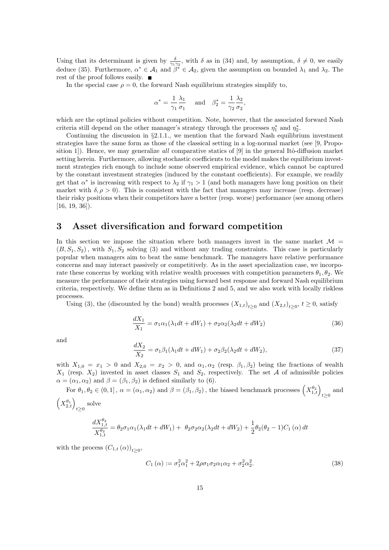Using that its determinant is given by  $\frac{\delta}{\gamma_1 \gamma_2}$ , with  $\delta$  as in (34) and, by assumption,  $\delta \neq 0$ , we easily deduce (35). Furthermore,  $\alpha^* \in \mathcal{A}_1$  and  $\beta^* \in \mathcal{A}_2$ , given the assumption on bounded  $\lambda_1$  and  $\lambda_2$ . The rest of the proof follows easily.

In the special case  $\rho = 0$ , the forward Nash equilibrium strategies simplify to,

$$
\alpha^* = \frac{1}{\gamma_1} \frac{\lambda_1}{\sigma_1} \quad \text{and} \quad \beta_2^* = \frac{1}{\gamma_2} \frac{\lambda_2}{\sigma_2},
$$

which are the optimal policies without competition. Note, however, that the associated forward Nash criteria still depend on the other manager's strategy through the processes  $\eta_1^*$  and  $\eta_2^*$ .

Continuing the discussion in §2.1.1., we mention that the forward Nash equilibrium investment strategies have the same form as those of the classical setting in a log-normal market (see [9, Proposition 1]). Hence, we may generalize all comparative statics of [9] in the general Itô-diffusion market setting herein. Furthermore, allowing stochastic coefficients to the model makes the equilibrium investment strategies rich enough to include some observed empirical evidence, which cannot be captured by the constant investment strategies (induced by the constant coefficients). For example, we readily get that  $\alpha^*$  is increasing with respect to  $\lambda_2$  if  $\gamma_1 > 1$  (and both managers have long position on their market with  $\delta, \rho > 0$ ). This is consistent with the fact that managers may increase (resp. decrease) their risky positions when their competitors have a better (resp. worse) performance (see among others  $[16, 19, 36]$ .

# 3 Asset diversification and forward competition

In this section we impose the situation where both managers invest in the same market  $\mathcal{M} =$  $(B, S_1, S_2)$ , with  $S_1, S_2$  solving (3) and without any trading constraints. This case is particularly popular when managers aim to beat the same benchmark. The managers have relative performance concerns and may interact passively or competitively. As in the asset specialization case, we incorporate these concerns by working with relative wealth processes with competition parameters  $\theta_1, \theta_2$ . We measure the performance of their strategies using forward best response and forward Nash equilibrium criteria, respectively. We define them as in Definitions 2 and 5, and we also work with locally riskless processes.

Using (3), the (discounted by the bond) wealth processes  $(X_{1,t})_{t\geq0}$  and  $(X_{2,t})_{t\geq0}$ ,  $t\geq0$ , satisfy

$$
\frac{dX_1}{X_1} = \sigma_1 \alpha_1 (\lambda_1 dt + dW_1) + \sigma_2 \alpha_2 (\lambda_2 dt + dW_2)
$$
\n(36)

and

$$
\frac{dX_2}{X_2} = \sigma_1 \beta_1 (\lambda_1 dt + dW_1) + \sigma_2 \beta_2 (\lambda_2 dt + dW_2),\tag{37}
$$

with  $X_{1,0} = x_1 > 0$  and  $X_{2,0} = x_2 > 0$ , and  $\alpha_1, \alpha_2$  (resp.  $\beta_1, \beta_2$ ) being the fractions of wealth  $X_1$  (resp.  $X_2$ ) invested in asset classes  $S_1$  and  $S_2$ , respectively. The set A of admissible policies  $\alpha = (\alpha_1, \alpha_2)$  and  $\beta = (\beta_1, \beta_2)$  is defined similarly to (6).

For  $\theta_1, \theta_2 \in (0, 1]$ ,  $\alpha = (\alpha_1, \alpha_2)$  and  $\beta = (\beta_1, \beta_2)$ , the biased benchmark processes  $(X_{1,t}^{\theta_2})_{t \geq 0}$  and  $\left(X_{2,t}^{\theta_1}\right)_{t\geq0}$  solve

$$
\frac{dX_{1,t}^{\theta_2}}{X_{1,t}^{\theta_2}} = \theta_2 \sigma_1 \alpha_1 (\lambda_1 dt + dW_1) + \theta_2 \sigma_2 \alpha_2 (\lambda_2 dt + dW_2) + \frac{1}{2} \theta_2 (\theta_2 - 1) C_1 (\alpha) dt
$$

with the process  $(C_{1,t}(\alpha))_{t\geq 0}$ ,

$$
C_1(\alpha) := \sigma_1^2 \alpha_1^2 + 2\rho \sigma_1 \sigma_2 \alpha_1 \alpha_2 + \sigma_2^2 \alpha_2^2.
$$
 (38)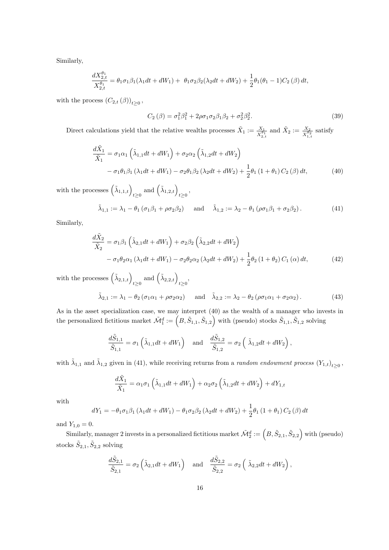Similarly,

$$
\frac{dX_{2,t}^{\theta_1}}{X_{2,t}^{\theta_1}} = \theta_1 \sigma_1 \beta_1 (\lambda_1 dt + dW_1) + \theta_1 \sigma_2 \beta_2 (\lambda_2 dt + dW_2) + \frac{1}{2} \theta_1 (\theta_1 - 1) C_2 (\beta) dt,
$$

with the process  $(C_{2,t}(\beta))_{t\geq 0}$ ,

$$
C_2(\beta) = \sigma_1^2 \beta_1^2 + 2\rho \sigma_1 \sigma_2 \beta_1 \beta_2 + \sigma_2^2 \beta_2^2.
$$
 (39)

Direct calculations yield that the relative wealths processes  $\tilde{X}_1 := \frac{X_1}{X_{2,t}^{\theta_1}}$  and  $\tilde{X}_2 := \frac{X_2}{X_{1,t}^{\theta_2}}$  satisfy

$$
\frac{d\tilde{X}_1}{\tilde{X}_1} = \sigma_1 \alpha_1 \left( \tilde{\lambda}_{1,1} dt + dW_1 \right) + \sigma_2 \alpha_2 \left( \tilde{\lambda}_{1,2} dt + dW_2 \right) \n- \sigma_1 \theta_1 \beta_1 \left( \lambda_1 dt + dW_1 \right) - \sigma_2 \theta_1 \beta_2 \left( \lambda_2 dt + dW_2 \right) + \frac{1}{2} \theta_1 \left( 1 + \theta_1 \right) C_2 \left( \beta \right) dt,
$$
\n(40)

with the processes  $(\tilde{\lambda}_{1,1,t})_{t\geq 0}$  and  $(\tilde{\lambda}_{1,2,t})_{t\geq 0}$ ,

$$
\tilde{\lambda}_{1,1} := \lambda_1 - \theta_1 \left( \sigma_1 \beta_1 + \rho \sigma_2 \beta_2 \right) \quad \text{and} \quad \tilde{\lambda}_{1,2} := \lambda_2 - \theta_1 \left( \rho \sigma_1 \beta_1 + \sigma_2 \beta_2 \right). \tag{41}
$$

Similarly,

$$
\frac{d\tilde{X}_2}{\tilde{X}_2} = \sigma_1 \beta_1 \left( \tilde{\lambda}_{2,1} dt + dW_1 \right) + \sigma_2 \beta_2 \left( \tilde{\lambda}_{2,2} dt + dW_2 \right)
$$

$$
- \sigma_1 \theta_2 \alpha_1 \left( \lambda_1 dt + dW_1 \right) - \sigma_2 \theta_2 \alpha_2 \left( \lambda_2 dt + dW_2 \right) + \frac{1}{2} \theta_2 \left( 1 + \theta_2 \right) C_1 \left( \alpha \right) dt, \tag{42}
$$

with the processes  $(\tilde{\lambda}_{2,1,t})_{t\geq 0}$  and  $(\tilde{\lambda}_{2,2,t})_{t\geq 0}$ ,

$$
\tilde{\lambda}_{2,1} := \lambda_1 - \theta_2 \left( \sigma_1 \alpha_1 + \rho \sigma_2 \alpha_2 \right) \quad \text{and} \quad \tilde{\lambda}_{2,2} := \lambda_2 - \theta_2 \left( \rho \sigma_1 \alpha_1 + \sigma_2 \alpha_2 \right). \tag{43}
$$

As in the asset specialization case, we may interpret (40) as the wealth of a manager who invests in the personalized fictitious market  $\tilde{\mathcal{M}}_1^d := (B, \tilde{S}_{1,1}, \tilde{S}_{1,2})$  with (pseudo) stocks  $\tilde{S}_{1,1}, \tilde{S}_{1,2}$  solving

$$
\frac{d\tilde{S}_{1,1}}{\tilde{S}_{1,1}} = \sigma_1\left(\tilde{\lambda}_{1,1}dt + dW_1\right) \quad \text{and} \quad \frac{d\tilde{S}_{1,2}}{\tilde{S}_{1,2}} = \sigma_2\left(\tilde{\lambda}_{1,2}dt + dW_2\right),
$$

with  $\tilde{\lambda}_{1,1}$  and  $\tilde{\lambda}_{1,2}$  given in (41), while receiving returns from a *random endowment process*  $(Y_{1,t})_{t\geq0}$ ,

$$
\frac{d\tilde{X}_1}{\tilde{X}_1} = \alpha_1 \sigma_1 \left( \tilde{\lambda}_{1,1} dt + dW_1 \right) + \alpha_2 \sigma_2 \left( \tilde{\lambda}_{1,2} dt + dW_2 \right) + dY_{1,t}
$$

with

$$
dY_1 = -\theta_1 \sigma_1 \beta_1 (\lambda_1 dt + dW_1) - \theta_1 \sigma_2 \beta_2 (\lambda_2 dt + dW_2) + \frac{1}{2} \theta_1 (1 + \theta_1) C_2 (\beta) dt
$$

and  $Y_{1,0} = 0$ .

Similarly, manager 2 invests in a personalized fictitious market  $\tilde{\cal M}^d_2:=\left(B,\tilde S_{2,1},\tilde S_{2,2}\right)$  with (pseudo) stocks  $\tilde{S}_{2,1}, \tilde{S}_{2,2}$  solving

$$
\frac{d\tilde{S}_{2,1}}{\tilde{S}_{2,1}} = \sigma_2 \left( \tilde{\lambda}_{2,1} dt + dW_1 \right) \quad \text{and} \quad \frac{d\tilde{S}_{2,2}}{\tilde{S}_{2,2}} = \sigma_2 \left( \tilde{\lambda}_{2,2} dt + dW_2 \right),
$$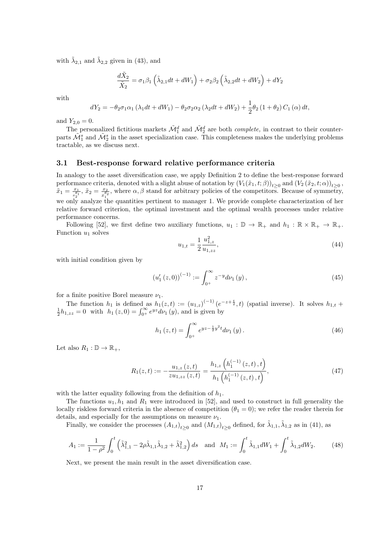with  $\tilde{\lambda}_{2,1}$  and  $\tilde{\lambda}_{2,2}$  given in (43), and

$$
\frac{d\tilde{X}_2}{\tilde{X}_2} = \sigma_1 \beta_1 \left( \tilde{\lambda}_{2,1} dt + dW_1 \right) + \sigma_2 \beta_2 \left( \tilde{\lambda}_{2,2} dt + dW_2 \right) + dY_2
$$

with

$$
dY_2 = -\theta_2 \sigma_1 \alpha_1 (\lambda_1 dt + dW_1) - \theta_2 \sigma_2 \alpha_2 (\lambda_2 dt + dW_2) + \frac{1}{2} \theta_2 (1 + \theta_2) C_1 (\alpha) dt,
$$

and  $Y_{2,0} = 0$ .

The personalized fictitious markets  $\tilde{\mathcal{M}}_1^d$  and  $\tilde{\mathcal{M}}_2^d$  are both *complete*, in contrast to their counterparts  $\tilde{\mathcal{M}}_1^s$  and  $\tilde{\mathcal{M}}_2^s$  in the asset specialization case. This completeness makes the underlying problems tractable, as we discuss next.

### 3.1 Best-response forward relative performance criteria

In analogy to the asset diversification case, we apply Definition 2 to define the best-response forward performance criteria, denoted with a slight abuse of notation by  $(V_1(\tilde{x}_1,t;\beta))_{t\geq 0}$  and  $(V_2(\tilde{x}_2,t;\alpha))_{t\geq 0}$ ,  $\tilde{x}_1 = \frac{x_1}{x_2^{\theta_1}}, \, \tilde{x}_2 = \frac{x_2}{x_1^{\theta_2}}$  $\frac{x_2}{x_1^{a_2}}$ , where  $\alpha, \beta$  stand for arbitrary policies of the competitors. Because of symmetry, we only analyze the quantities pertinent to manager 1. We provide complete characterization of her relative forward criterion, the optimal investment and the optimal wealth processes under relative performance concerns.

Following [52], we first define two auxiliary functions,  $u_1 : \mathbb{D} \to \mathbb{R}_+$  and  $h_1 : \mathbb{R} \times \mathbb{R}_+ \to \mathbb{R}_+$ . Function  $u_1$  solves

$$
u_{1,t} = \frac{1}{2} \frac{u_{1,z}^2}{u_{1,zz}},\tag{44}
$$

with initial condition given by

$$
\left(u_1'(z,0)\right)^{(-1)} := \int_{0^+}^{\infty} z^{-y} d\nu_1(y),\tag{45}
$$

for a finite positive Borel measure  $\nu_1$ .

The function  $h_1$  is defined as  $h_1(z,t) := (u_{1,z})^{(-1)} (e^{-z+\frac{t}{2}}, t)$  (spatial inverse). It solves  $h_{1,t} + \frac{1}{2}h_{1,zz} = 0$  with  $h_1(z,0) = \int_{0+}^{\infty} e^{yz} d\nu_1(y)$ , and is given by

$$
h_1(z,t) = \int_{0^+}^{\infty} e^{yz - \frac{1}{2}y^2 t} d\nu_1(y).
$$
 (46)

Let also  $R_1 : \mathbb{D} \to \mathbb{R}_+$ ,

$$
R_1(z,t) := -\frac{u_{1,z}(z,t)}{zu_{1,zz}(z,t)} = \frac{h_{1,z}\left(h_1^{(-1)}(z,t),t\right)}{h_1\left(h_1^{(-1)}(z,t),t\right)},\tag{47}
$$

with the latter equality following from the definition of  $h_1$ .

The functions  $u_1, h_1$  and  $R_1$  were introduced in [52], and used to construct in full generality the locally riskless forward criteria in the absence of competition  $(\theta_1 = 0)$ ; we refer the reader therein for details, and especially for the assumptions on measure  $\nu_1$ .

Finally, we consider the processes  $(A_{1,t})_{t\geq 0}$  and  $(M_{1,t})_{t\geq 0}$  defined, for  $\tilde{\lambda}_{1,1}, \tilde{\lambda}_{1,2}$  as in (41), as

$$
A_1 := \frac{1}{1 - \rho^2} \int_0^t \left( \tilde{\lambda}_{1,1}^2 - 2\rho \tilde{\lambda}_{1,1} \tilde{\lambda}_{1,2} + \tilde{\lambda}_{1,2}^2 \right) ds \text{ and } M_1 := \int_0^t \tilde{\lambda}_{1,1} dW_1 + \int_0^t \tilde{\lambda}_{1,2} dW_2.
$$
 (48)

Next, we present the main result in the asset diversification case.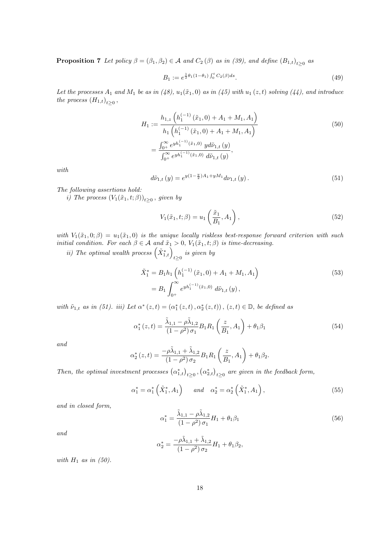**Proposition 7** Let policy  $\beta = (\beta_1, \beta_2) \in \mathcal{A}$  and  $C_2(\beta)$  as in (39), and define  $(B_{1,t})_{t \geq 0}$  as

$$
B_1 := e^{\frac{1}{2}\theta_1(1-\theta_1) \int_0^t C_2(\beta) ds}.
$$
\n(49)

Let the processes  $A_1$  and  $M_1$  be as in (48),  $u_1(\tilde{x}_1, 0)$  as in (45) with  $u_1(z, t)$  solving (44), and introduce the process  $(H_{1,t})_{t\geq 0}$ ,

$$
H_1 := \frac{h_{1,z} \left( h_1^{(-1)} \left( \tilde{x}_1, 0 \right) + A_1 + M_1, A_1 \right)}{h_1 \left( h_1^{(-1)} \left( \tilde{x}_1, 0 \right) + A_1 + M_1, A_1 \right)}
$$
  
= 
$$
\frac{\int_{0^+}^{\infty} e^{y h_1^{(-1)} \left( \tilde{x}_1, 0 \right)} y d\tilde{\nu}_{1,t} \left( y \right)}{\int_{0^+}^{\infty} e^{y h_1^{(-1)} \left( \tilde{x}_1, 0 \right)} d\tilde{\nu}_{1,t} \left( y \right)},
$$
(50)

with

$$
d\tilde{\nu}_{1,t}(y) = e^{y(1-\frac{y}{2})A_1 + yM_1} d\nu_{1,t}(y).
$$
\n(51)

The following assertions hold:

i) The process  $(V_1(\tilde{x}_1,t;\beta))_{t\geq0}$ , given by

$$
V_1(\tilde{x}_1, t; \beta) = u_1\left(\frac{\tilde{x}_1}{B_1}, A_1\right),\tag{52}
$$

with  $V_1(\tilde{x}_1, 0; \beta) = u_1(\tilde{x}_1, 0)$  is the unique locally riskless best-response forward criterion with such initial condition. For each  $\beta \in \mathcal{A}$  and  $\tilde{x}_1 > 0$ ,  $V_1(\tilde{x}_1, t; \beta)$  is time-decreasing.

ii) The optimal wealth process  $(\tilde{X}_{1,t}^*)_{t\geq0}$  is given by

$$
\tilde{X}_1^* = B_1 h_1 \left( h_1^{(-1)} (\tilde{x}_1, 0) + A_1 + M_1, A_1 \right)
$$
\n
$$
= B_1 \int_{0^+}^{\infty} e^{y h_1^{(-1)} (\tilde{x}_1, 0)} d\tilde{\nu}_{1,t} (y),
$$
\n(53)

with  $\tilde{\nu}_{1,t}$  as in (51). iii) Let  $\alpha^*(z,t) = (\alpha_1^*(z,t), \alpha_2^*(z,t))$ ,  $(z,t) \in \mathbb{D}$ , be defined as

$$
\alpha_1^*(z,t) = \frac{\tilde{\lambda}_{1,1} - \rho \tilde{\lambda}_{1,2}}{(1 - \rho^2)\sigma_1} B_1 R_1 \left(\frac{z}{B_1}, A_1\right) + \theta_1 \beta_1 \tag{54}
$$

and

$$
\alpha_2^*(z,t) = \frac{-\rho \tilde{\lambda}_{1,1} + \tilde{\lambda}_{1,2}}{(1-\rho^2)\sigma_2} B_1 R_1 \left(\frac{z}{B_1}, A_1\right) + \theta_1 \beta_2.
$$

Then, the optimal investment processes  $(\alpha_{1,t}^*)_{t\geq 0}, (\alpha_{2,t}^*)_{t\geq 0}$  are given in the feedback form,

$$
\alpha_1^* = \alpha_1^* \left( \tilde{X}_1^*, A_1 \right) \quad \text{and} \quad \alpha_2^* = \alpha_2^* \left( \tilde{X}_1^*, A_1 \right), \tag{55}
$$

and in closed form,

$$
\alpha_1^* = \frac{\tilde{\lambda}_{1,1} - \rho \tilde{\lambda}_{1,2}}{(1 - \rho^2)\,\sigma_1} H_1 + \theta_1 \beta_1 \tag{56}
$$

and

$$
\alpha_2^* = \frac{-\rho \tilde{\lambda}_{1,1} + \tilde{\lambda}_{1,2}}{(1-\rho^2)\,\sigma_2} H_1 + \theta_1 \beta_2,
$$

with  $H_1$  as in (50).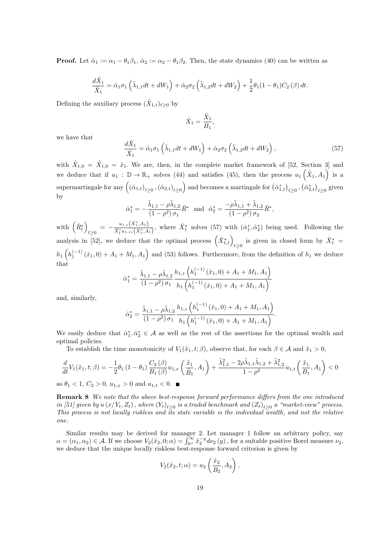**Proof.** Let  $\hat{\alpha}_1 := \alpha_1 - \theta_1 \beta_1$ ,  $\hat{\alpha}_2 := \alpha_2 - \theta_1 \beta_2$ . Then, the state dynamics (40) can be written as

$$
\frac{d\tilde{X}_1}{\tilde{X}_1} = \hat{\alpha}_1 \sigma_1 \left( \tilde{\lambda}_{1,1} dt + dW_1 \right) + \hat{\alpha}_2 \sigma_2 \left( \tilde{\lambda}_{1,2} dt + dW_2 \right) + \frac{1}{2} \theta_1 (1 - \theta_1) C_2 \left( \beta \right) dt.
$$

Defining the auxiliary process  $(\hat{X}_{1,t})_{t\geq 0}$  by

$$
\hat{X}_1 = \frac{\tilde{X}_1}{B_1},
$$

we have that

$$
\frac{d\hat{X}_1}{\hat{X}_1} = \hat{\alpha}_1 \sigma_1 \left( \tilde{\lambda}_{1,1} dt + dW_1 \right) + \hat{\alpha}_2 \sigma_2 \left( \tilde{\lambda}_{1,2} dt + dW_2 \right),\tag{57}
$$

,

with  $\hat{X}_{1,0} = \tilde{X}_{1,0} = \tilde{x}_1$ . We are, then, in the complete market framework of [52, Section 3] and we deduce that if  $u_1 : \mathbb{D} \to \mathbb{R}_+$  solves (44) and satisfies (45), then the process  $u_1(\hat{X}_1, A_1)$  is a  $\text{supermartingale for any } \left( \left( \hat{\alpha}_{1,t} \right)_{t \geq 0}, \left( \hat{\alpha}_{2,t} \right)_{t \geq 0} \right) \text{ and becomes a martingale for } \left( \hat{\alpha}_{1,t}^* \right)_{t \geq 0}, \left( \hat{\alpha}_{2,t}^* \right)_{t \geq 0} \text{ given }$ by

$$
\hat{\alpha}_1^* = -\frac{\tilde{\lambda}_{1,1} - \rho \tilde{\lambda}_{1,2}}{(1 - \rho^2) \sigma_1} \hat{R}^* \text{ and } \hat{\alpha}_2^* = \frac{-\rho \tilde{\lambda}_{1,1} + \tilde{\lambda}_{1,2}}{(1 - \rho^2) \sigma_2} \hat{R}^*
$$

with  $(\hat{R}^*_t)$  $_{t\geq 0}\ =\ -\frac{u_{1,z}\left(\hat{X}_{1}^{*},A_{1}\right)}{\hat{X}_{1}^{*}u_{1,zz}\left(\hat{X}_{1}^{*},A_{1}\right)}$  $\frac{u_{1,z}(X_1^*,A_1)}{\hat{X}_1^*u_{1,zz}(\hat{X}_1^*,A_1)},$  where  $\hat{X}_1^*$  solves (57) with  $(\hat{\alpha}_1^*,\hat{\alpha}_2^*)$  being used. Following the analysis in [52], we deduce that the optimal process  $(\hat{X}_{1,t}^*)_{t\geq0}$  is given in closed form by  $\hat{X}_1^*$  =  $h_1\left(h_1^{(-1)}(\hat{x}_1,0) + A_1 + M_1, A_1\right)$  and (53) follows. Furthermore, from the definition of  $h_1$  we deduce that

$$
\hat{\alpha}_1^* = \frac{\tilde{\lambda}_{1,1} - \rho \tilde{\lambda}_{1,2}}{(1 - \rho^2) \sigma_1} \frac{h_{1,z} \left( h_1^{(-1)}(\hat{x}_1, 0) + A_1 + M_1, A_1 \right)}{h_1 \left( h_1^{(-1)}(\hat{x}_1, 0) + A_1 + M_1, A_1 \right)}
$$

and, similarly,

$$
\hat{\alpha}_2^* = \frac{\tilde{\lambda}_{1,1} - \rho \tilde{\lambda}_{1,2}}{(1 - \rho^2) \sigma_1} \frac{h_{1,z} \left( h_1^{(-1)}(\hat{x}_1, 0) + A_1 + M_1, A_1 \right)}{h_1 \left( h_1^{(-1)}(\hat{x}_1, 0) + A_1 + M_1, A_1 \right)}.
$$

We easily deduce that  $\hat{\alpha}_1^*, \hat{\alpha}_2^* \in \mathcal{A}$  as well as the rest of the assertions for the optimal wealth and optimal policies.

To establish the time monotonicity of  $V_1(\tilde{x}_1, t; \beta)$ , observe that, for each  $\beta \in \mathcal{A}$  and  $\tilde{x}_1 > 0$ ,

$$
\frac{d}{dt}V_{1}(\tilde{x}_{1},t;\beta)=-\frac{1}{2}\theta_{1}\left(1-\theta_{1}\right)\frac{C_{2}\left(\beta\right)}{B_{1}\left(\beta\right)}u_{1,x}\left(\frac{\tilde{x}_{1}}{\tilde{B}_{1}},A_{1}\right)+\frac{\tilde{\lambda}_{1,1}^{2}-2\rho\tilde{\lambda}_{1,1}\tilde{\lambda}_{1,2}+\tilde{\lambda}_{1,2}^{2}}{1-\rho^{2}}u_{1,t}\left(\frac{\tilde{x}_{1}}{B_{1}},A_{1}\right)<0
$$

as  $\theta_1 < 1, C_2 > 0, u_{1x} > 0$  and  $u_{1x} < 0$ .

Remark 8 We note that the above best-response forward performance differs from the one introduced in [51] given by  $u(x/Y_t, Z_t)$  , where  $(Y_t)_{t\geq 0}$  is a traded benchmark and  $(Z_t)_{t\geq 0}$  a "market-view" process. This process is not locally riskless and  $\overline{its}$  state variable is the individual wealth, and not the relative one.

Similar results may be derived for manager 2. Let manager 1 follow an arbitrary policy, say  $\alpha = (\alpha_1, \alpha_2) \in \mathcal{A}$ . If we choose  $V_2(\tilde{x}_2, 0; \alpha) = \int_{0^+}^{\infty} \tilde{x}_2^{-y} d\nu_2(y)$ , for a suitable positive Borel measure  $\nu_2$ , we deduce that the unique locally riskless best-response forward criterion is given by

$$
V_2(\tilde{x}_2, t; \alpha) = u_2\left(\frac{\tilde{x}_2}{B_2}, A_2\right),
$$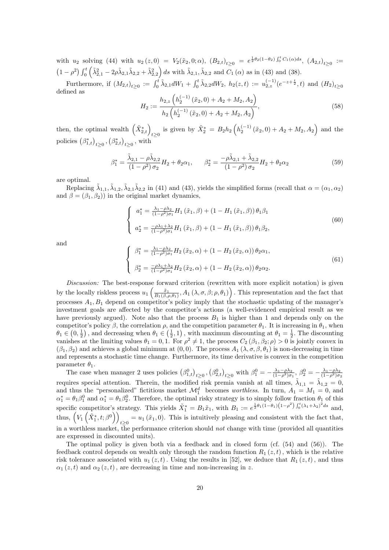with  $u_2$  solving (44) with  $u_2(z,0) = V_2(\tilde{x}_2,0;\alpha)$ ,  $(B_{2,t})_{t\geq 0} = e^{\frac{1}{2}\theta_2(1-\theta_2)\int_0^t C_1(\alpha)ds}$ ,  $(A_{2,t})_{t\geq 0} :=$  $(1 - \rho^2) \int_0^t \left( \tilde{\lambda}_{2,1}^2 - 2\rho \tilde{\lambda}_{2,1} \tilde{\lambda}_{2,2} + \tilde{\lambda}_{2,2}^2 \right) ds$  with  $\tilde{\lambda}_{2,1}, \tilde{\lambda}_{2,2}$  and  $C_1(\alpha)$  as in (43) and (38).

Furthermore, if  $(M_{2,t})_{t\geq 0} := \int_0^t \tilde{\lambda}_{2,1} dW_1 + \int_0^t \tilde{\lambda}_{2,2} dW_2$ ,  $h_2(z,t) := u_{2,z}^{(-1)} (e^{-z+\frac{t}{2}}, t)$  and  $(H_2)_{t\geq 0}$ defined as

$$
H_2 := \frac{h_{2,z} \left( h_2^{(-1)} \left( \tilde{x}_2, 0 \right) + A_2 + M_2, A_2 \right)}{h_2 \left( h_2^{(-1)} \left( \tilde{x}_2, 0 \right) + A_2 + M_2, A_2 \right)},\tag{58}
$$

then, the optimal wealth  $(\tilde{X}_{2,t}^*)_{t\geq 0}$  is given by  $\tilde{X}_2^* = B_2 h_2 \left( h_2^{(-1)} (\tilde{x}_2, 0) + A_2 + M_2, A_2 \right)$  and the policies  $(\beta^*_{1,t})_{t\geq 0}$ ,  $(\beta^*_{2,t})_{t\geq 0}$ , with

$$
\beta_1^* = \frac{\tilde{\lambda}_{2,1} - \rho \tilde{\lambda}_{2,2}}{(1 - \rho^2)\sigma_2} H_2 + \theta_2 \alpha_1, \qquad \beta_2^* = \frac{-\rho \tilde{\lambda}_{2,1} + \tilde{\lambda}_{2,2}}{(1 - \rho^2)\sigma_2} H_2 + \theta_2 \alpha_2
$$
\n(59)

are optimal.

Replacing  $\tilde{\lambda}_{1,1}, \tilde{\lambda}_{1,2}, \tilde{\lambda}_{2,1}\tilde{\lambda}_{2,2}$  in (41) and (43), yields the simplified forms (recall that  $\alpha = (\alpha_1, \alpha_2)$ and  $\beta = (\beta_1, \beta_2)$  in the original market dynamics,

$$
\begin{cases}\n a_1^* = \frac{\lambda_1 - \rho \lambda_2}{(1 - \rho^2)\sigma_1} H_1(\tilde{x}_1, \beta) + (1 - H_1(\tilde{x}_1, \beta)) \theta_1 \beta_1 \\
 a_2^* = \frac{-\rho \lambda_1 + \lambda_2}{(1 - \rho^2)\sigma_1} H_1(\tilde{x}_1, \beta) + (1 - H_1(\tilde{x}_1, \beta)) \theta_1 \beta_2,\n\end{cases}
$$
\n(60)

and

$$
\begin{cases}\n\beta_1^* = \frac{\lambda_1 - \rho \lambda_2}{(1 - \rho^2)\sigma_1} H_2\left(\tilde{x}_2, \alpha\right) + \left(1 - H_2\left(\tilde{x}_2, \alpha\right)\right) \theta_2 \alpha_1, \\
\beta_2^* = \frac{-\rho \lambda_1 + \lambda_2}{(1 - \rho^2)\sigma_1} H_2\left(\tilde{x}_2, \alpha\right) + \left(1 - H_2\left(\tilde{x}_2, \alpha\right)\right) \theta_2 \alpha_2.\n\end{cases} \tag{61}
$$

Discussion: The best-response forward criterion (rewritten with more explicit notation) is given by the locally riskless process  $u_1\left(\frac{\tilde{x}_1}{B_1(\beta,\rho,\theta_1)},A_1(\lambda,\sigma,\beta;\rho,\theta_1)\right)$ . This representation and the fact that processes  $A_1, B_1$  depend on competitor's policy imply that the stochastic updating of the manager's investment goals are affected by the competitor's actions (a well-evidenced empirical result as we have previously argued). Note also that the process  $B_1$  is higher than 1 and depends only on the competitor's policy  $\beta$ , the correlation  $\rho$ , and the competition parameter  $\theta_1$ . It is increasing in  $\theta_1$ , when  $\theta_1 \in (0, \frac{1}{2})$ , and decreasing when  $\theta_1 \in (\frac{1}{2}, 1)$ , with maximum discounting at  $\theta_1 = \frac{1}{2}$ . The discounting vanishes at the limiting values  $\theta_1 = 0, 1$ . For  $\rho^2 \neq 1$ , the process  $C_2(\beta_1, \beta_2; \rho) > 0$  is jointly convex in  $(\beta_1, \beta_2)$  and achieves a global minimum at  $(0, 0)$ . The process  $A_1(\lambda, \sigma, \beta, \theta_1)$  is non-decreasing in time and represents a stochastic time change. Furthermore, its time derivative is convex in the competition parameter  $\theta_1$ .

The case when manager 2 uses policies  $(\beta_{1,t}^0)_{t\geq0}, (\beta_{2,t}^0)_{t\geq0}$  with  $\beta_1^0 = -\frac{\lambda_1-\rho\lambda_2}{(1-\rho^2)\sigma_1}, \beta_2^0 = -\frac{\lambda_1-\rho\lambda_2}{(1-\rho^2)\sigma_2}$ requires special attention. Therein, the modified risk premia vanish at all times,  $\tilde{\lambda}_{1,1} = \tilde{\lambda}_{1,2} = 0$ , and thus the "personalized" fictitious market  $\mathcal{M}_1^d$  becomes worthless. In turn,  $A_1 = M_1 = 0$ , and  $\alpha_1^* = \theta_1 \beta_1^0$  and  $\alpha_1^* = \theta_1 \beta_2^0$ . Therefore, the optimal risky strategy is to simply follow fraction  $\theta_1$  of this specific competitor's strategy. This yields  $\tilde{X}_1^* = B_1 \tilde{x}_1$ , with  $B_1 := e^{\frac{1}{2}\theta_1(1-\theta_1)(1-\rho^2)} \int_0^t (\lambda_1 + \lambda_2)^2 ds$  and, thus,  $(V_1(\tilde{X}_1^*, t; \beta^0))$  $t \geq 0$  =  $u_1(\tilde{x}_1, 0)$ . This is intuitively pleasing and consistent with the fact that, in a worthless market, the performance criterion should not change with time (provided all quantities are expressed in discounted units).

The optimal policy is given both via a feedback and in closed form (cf. (54) and (56)). The feedback control depends on wealth only through the random function  $R_1(z, t)$ , which is the relative risk tolerance associated with  $u_1(z,t)$ . Using the results in [52], we deduce that  $R_1(z,t)$ , and thus  $\alpha_1(z, t)$  and  $\alpha_2(z, t)$ , are decreasing in time and non-increasing in z.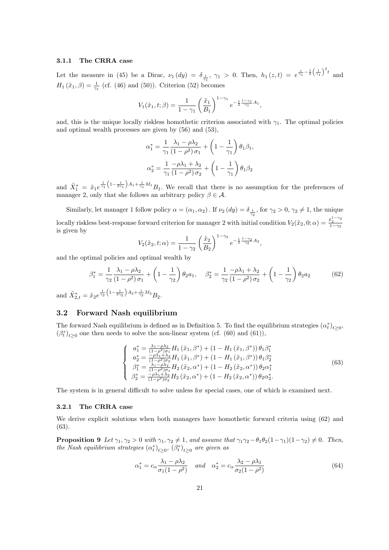#### 3.1.1 The CRRA case

Let the measure in (45) be a Dirac,  $\nu_1(dy) = \delta_{\frac{1}{\gamma_1}}$ ,  $\gamma_1 > 0$ . Then,  $h_1(z,t) = e^{\frac{z}{\gamma_1} - \frac{1}{2}(\frac{1}{\gamma_1})^2 t}$  and  $H_1(\tilde{x}_1, \beta) = \frac{1}{\gamma_1}$  (cf. (46) and (50)). Criterion (52) becomes

$$
V_1(\tilde{x}_1, t; \beta) = \frac{1}{1 - \gamma_1} \left(\frac{\tilde{x}_1}{B_1}\right)^{1 - \gamma_1} e^{-\frac{1}{2} \frac{1 - \gamma_1}{\gamma_1} A_1},
$$

and, this is the unique locally riskless homothetic criterion associated with  $\gamma_1$ . The optimal policies and optimal wealth processes are given by (56) and (53),

$$
\alpha_1^* = \frac{1}{\gamma_1} \frac{\lambda_1 - \rho \lambda_2}{(1 - \rho^2) \sigma_1} + \left(1 - \frac{1}{\gamma_1}\right) \theta_1 \beta_1,
$$
  

$$
\alpha_2^* = \frac{1}{\gamma_1} \frac{-\rho \lambda_1 + \lambda_2}{(1 - \rho^2) \sigma_2} + \left(1 - \frac{1}{\gamma_1}\right) \theta_1 \beta_2
$$

and  $\tilde{X}_1^* = \tilde{x}_1 e^{\frac{1}{\gamma_1} \left(1 - \frac{1}{2\gamma_1}\right) A_1 + \frac{1}{\gamma_1} M_1} B_1$ . We recall that there is no assumption for the preferences of manager 2, only that she follows an arbitrary policy  $\beta \in \mathcal{A}$ .

Similarly, let manager 1 follow policy  $\alpha = (\alpha_1, \alpha_2)$ . If  $\nu_2(dy) = \delta_{\frac{1}{\gamma_2}}$ , for  $\gamma_2 > 0$ ,  $\gamma_2 \neq 1$ , the unique locally riskless best-response forward criterion for manager 2 with initial condition  $V_2(\tilde{x}_2, 0; \alpha) = \frac{\tilde{x}_2^{1-\gamma_2}}{1-\gamma_2}$ is given by

$$
V_2(\tilde{x}_2, t; \alpha) = \frac{1}{1 - \gamma_2} \left(\frac{\tilde{x}_2}{B_2}\right)^{1 - \gamma_2} e^{-\frac{1}{2} \frac{1 - \gamma_2}{\gamma_2} A_2},
$$

and the optimal policies and optimal wealth by

$$
\beta_1^* = \frac{1}{\gamma_2} \frac{\lambda_1 - \rho \lambda_2}{(1 - \rho^2)\sigma_1} + \left(1 - \frac{1}{\gamma_2}\right) \theta_2 a_1, \quad \beta_2^* = \frac{1}{\gamma_2} \frac{-\rho \lambda_1 + \lambda_2}{(1 - \rho^2)\sigma_2} + \left(1 - \frac{1}{\gamma_2}\right) \theta_2 a_2 \tag{62}
$$

and  $\tilde{X}_{2,t}^* = \tilde{x}_2 e^{\frac{1}{\gamma_2} \left(1 - \frac{1}{2\gamma_2}\right) A_2 + \frac{1}{\gamma_2} M_2} B_2.$ 

### 3.2 Forward Nash equilibrium

The forward Nash equilibrium is defined as in Definition 5. To find the equilibrium strategies  $(\alpha_t^*)_{t\geq 0}$ ,  $(\beta_t^*)_{t\geq 0}$  one then needs to solve the non-linear system (cf. (60) and (61)),

$$
\begin{cases}\na_1^* = \frac{\lambda_1 - \rho \lambda_2}{(1 - \rho^2)\sigma_1} H_1\left(\tilde{x}_1, \beta^*\right) + \left(1 - H_1\left(\tilde{x}_1, \beta^*\right)\right) \theta_1 \beta_1^* \\
a_2^* = \frac{-\rho \lambda_1 + \lambda_2}{(1 - \rho^2)\sigma_2} H_1\left(\tilde{x}_1, \beta^*\right) + \left(1 - H_1\left(\tilde{x}_1, \beta^*\right)\right) \theta_1 \beta_2^* \\
\beta_1^* = \frac{\lambda_1 - \rho \lambda_2}{(1 - \rho^2)\sigma_1} H_2\left(\tilde{x}_2, \alpha^*\right) + \left(1 - H_2\left(\tilde{x}_2, \alpha^*\right)\right) \theta_2 \alpha_1^* \\
\beta_2^* = \frac{-\rho \lambda_1 + \lambda_2}{(1 - \rho^2)\sigma_2} H_2\left(\tilde{x}_2, \alpha^*\right) + \left(1 - H_2\left(\tilde{x}_2, \alpha^*\right)\right) \theta_2 \alpha_2^*. \n\end{cases}\n\tag{63}
$$

The system is in general difficult to solve unless for special cases, one of which is examined next.

#### 3.2.1 The CRRA case

We derive explicit solutions when both managers have homothetic forward criteria using  $(62)$  and (63).

**Proposition 9** Let  $\gamma_1, \gamma_2 > 0$  with  $\gamma_1, \gamma_2 \neq 1$ , and assume that  $\gamma_1 \gamma_2 - \theta_1 \theta_2 (1 - \gamma_1)(1 - \gamma_2) \neq 0$ . Then, the Nash equilibrium strategies  $(\alpha_t^*)_{t\geq 0}$ ,  $(\beta_t^*)_{t\geq 0}$  are given as

$$
\alpha_1^* = c_\alpha \frac{\lambda_1 - \rho \lambda_2}{\sigma_1 (1 - \rho^2)} \quad \text{and} \quad \alpha_2^* = c_\alpha \frac{\lambda_2 - \rho \lambda_1}{\sigma_2 (1 - \rho^2)} \tag{64}
$$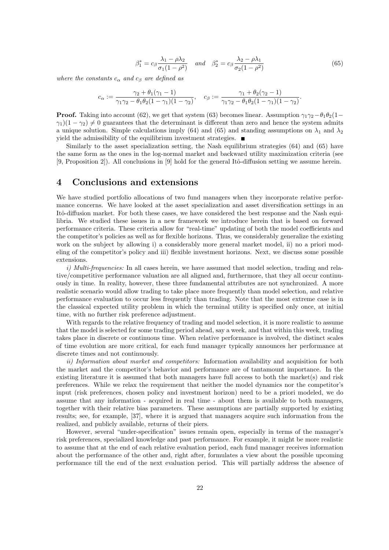$$
\beta_1^* = c_\beta \frac{\lambda_1 - \rho \lambda_2}{\sigma_1 (1 - \rho^2)} \quad \text{and} \quad \beta_2^* = c_\beta \frac{\lambda_2 - \rho \lambda_1}{\sigma_2 (1 - \rho^2)} \tag{65}
$$

where the constants  $c_{\alpha}$  and  $c_{\beta}$  are defined as

$$
c_{\alpha} := \frac{\gamma_2 + \theta_1(\gamma_1 - 1)}{\gamma_1 \gamma_2 - \theta_1 \theta_2 (1 - \gamma_1)(1 - \gamma_2)}, \quad c_{\beta} := \frac{\gamma_1 + \theta_2(\gamma_2 - 1)}{\gamma_1 \gamma_2 - \theta_1 \theta_2 (1 - \gamma_1)(1 - \gamma_2)}.
$$

**Proof.** Taking into account (62), we get that system (63) becomes linear. Assumption  $\gamma_1\gamma_2-\theta_1\theta_2(1-\theta_1)$  $\gamma_1(1-\gamma_2) \neq 0$  guarantees that the determinant is different than zero and hence the system admits a unique solution. Simple calculations imply (64) and (65) and standing assumptions on  $\lambda_1$  and  $\lambda_2$ yield the admissibility of the equilibrium investment strategies.  $\blacksquare$ 

Similarly to the asset specialization setting, the Nash equilibrium strategies (64) and (65) have the same form as the ones in the log-normal market and backward utility maximization criteria (see [9, Proposition 2]). All conclusions in [9] hold for the general Itô-diffusion setting we assume herein.

# 4 Conclusions and extensions

We have studied portfolio allocations of two fund managers when they incorporate relative performance concerns. We have looked at the asset specialization and asset diversification settings in an Itô-diffusion market. For both these cases, we have considered the best response and the Nash equilibria. We studied these issues in a new framework we introduce herein that is based on forward performance criteria. These criteria allow for "real-time" updating of both the model coefficients and the competitor's policies as well as for flexible horizons. Thus, we considerably generalize the existing work on the subject by allowing i) a considerably more general market model, ii) no a priori modeling of the competitor's policy and iii) flexible investment horizons. Next, we discuss some possible extensions.

i) Multi-frequencies: In all cases herein, we have assumed that model selection, trading and relative/competitive performance valuation are all aligned and, furthermore, that they all occur continuously in time. In reality, however, these three fundamental attributes are not synchronized. A more realistic scenario would allow trading to take place more frequently than model selection, and relative performance evaluation to occur less frequently than trading. Note that the most extreme case is in the classical expected utility problem in which the terminal utility is specified only once, at initial time, with no further risk preference adjustment.

With regards to the relative frequency of trading and model selection, it is more realistic to assume that the model is selected for some trading period ahead, say a week, and that within this week, trading takes place in discrete or continuous time. When relative performance is involved, the distinct scales of time evolution are more critical, for each fund manager typically announces her performance at discrete times and not continuously.

ii) Information about market and competitors: Information availability and acquisition for both the market and the competitor's behavior and performance are of tantamount importance. In the existing literature it is assumed that both managers have full access to both the market(s) and risk preferences. While we relax the requirement that neither the model dynamics nor the competitor's input (risk preferences, chosen policy and investment horizon) need to be a priori modeled, we do assume that any information - acquired in real time - about them is available to both managers, together with their relative bias parameters. These assumptions are partially supported by existing results; see, for example, [37], where it is argued that managers acquire such information from the realized, and publicly available, returns of their piers.

However, several "under-specification" issues remain open, especially in terms of the manager's risk preferences, specialized knowledge and past performance. For example, it might be more realistic to assume that at the end of each relative evaluation period, each fund manager receives information about the performance of the other and, right after, formulates a view about the possible upcoming performance till the end of the next evaluation period. This will partially address the absence of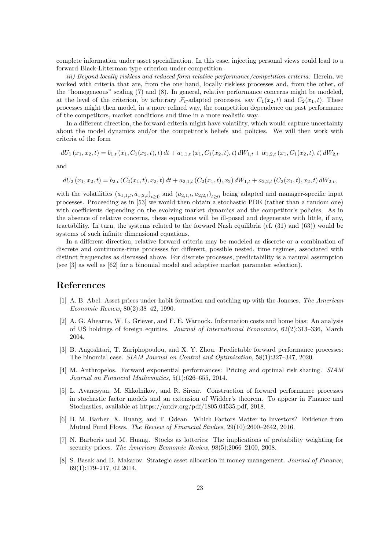complete information under asset specialization. In this case, injecting personal views could lead to a forward Black-Litterman type criterion under competition.

iii) Beyond locally riskless and reduced form relative performance/competition criteria: Herein, we worked with criteria that are, from the one hand, locally riskless processes and, from the other, of the "homogeneous" scaling (7) and (8). In general, relative performance concerns might be modeled, at the level of the criterion, by arbitrary  $\mathcal{F}_t$ -adapted processes, say  $C_1(x_2, t)$  and  $C_2(x_1, t)$ . These processes might then model, in a more refined way, the competition dependence on past performance of the competitors, market conditions and time in a more realistic way.

In a different direction, the forward criteria might have volatility, which would capture uncertainty about the model dynamics and/or the competitor's beliefs and policies. We will then work with criteria of the form

$$
dU_1(x_1, x_2, t) = b_{1,t}(x_1, C_1(x_2, t), t) dt + a_{1,1,t}(x_1, C_1(x_2, t), t) dW_{1,t} + \alpha_{1,2,t}(x_1, C_1(x_2, t), t) dW_{2,t}
$$

and

$$
dU_2(x_1, x_2, t) = b_{2,t} \left( C_2(x_1, t), x_2, t \right) dt + a_{2,1,t} \left( C_2(x_1, t), x_2 \right) dW_{1,t} + a_{2,2,t} \left( C_2(x_1, t), x_2, t \right) dW_{2,t},
$$

with the volatilities  $(a_{1,1,t}, a_{1,2,t})_{t\geq 0}$  and  $(a_{2,1,t}, a_{2,2,t})_{t\geq 0}$  being adapted and manager-specific input processes. Proceeding as in [53] we would then obtain a stochastic PDE (rather than a random one) with coefficients depending on the evolving market dynamics and the competitor's policies. As in the absence of relative concerns, these equations will be ill-posed and degenerate with little, if any, tractability. In turn, the systems related to the forward Nash equilibria (cf. (31) and (63)) would be systems of such infinite dimensional equations.

In a different direction, relative forward criteria may be modeled as discrete or a combination of discrete and continuous-time processes for different, possible nested, time regimes, associated with distinct frequencies as discussed above. For discrete processes, predictability is a natural assumption (see [3] as well as [62] for a binomial model and adaptive market parameter selection).

## References

- [1] A. B. Abel. Asset prices under habit formation and catching up with the Joneses. The American Economic Review, 80(2):38–42, 1990.
- [2] A. G. Ahearne, W. L. Griever, and F. E. Warnock. Information costs and home bias: An analysis of US holdings of foreign equities. Journal of International Economics, 62(2):313–336, March 2004.
- [3] B. Angoshtari, T. Zariphopoulou, and X. Y. Zhou. Predictable forward performance processes: The binomial case. SIAM Journal on Control and Optimization, 58(1):327–347, 2020.
- [4] M. Anthropelos. Forward exponential performances: Pricing and optimal risk sharing. SIAM Journal on Financial Mathematics, 5(1):626–655, 2014.
- [5] L. Avanesyan, M. Shkolnikov, and R. Sircar. Construction of forward performance processes in stochastic factor models and an extension of Widder's theorem. To appear in Finance and Stochastics, available at https://arxiv.org/pdf/1805.04535.pdf, 2018.
- [6] B. M. Barber, X. Huang, and T. Odean. Which Factors Matter to Investors? Evidence from Mutual Fund Flows. The Review of Financial Studies, 29(10):2600–2642, 2016.
- [7] N. Barberis and M. Huang. Stocks as lotteries: The implications of probability weighting for security prices. The American Economic Review, 98(5):2066–2100, 2008.
- [8] S. Basak and D. Makarov. Strategic asset allocation in money management. Journal of Finance, 69(1):179–217, 02 2014.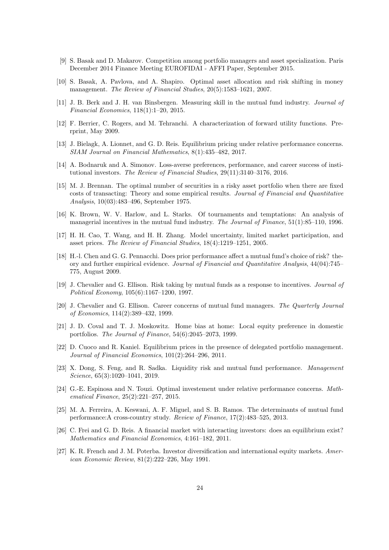- [9] S. Basak and D. Makarov. Competition among portfolio managers and asset specialization. Paris December 2014 Finance Meeting EUROFIDAI - AFFI Paper, September 2015.
- [10] S. Basak, A. Pavlova, and A. Shapiro. Optimal asset allocation and risk shifting in money management. The Review of Financial Studies, 20(5):1583–1621, 2007.
- [11] J. B. Berk and J. H. van Binsbergen. Measuring skill in the mutual fund industry. Journal of Financial Economics, 118(1):1–20, 2015.
- [12] F. Berrier, C. Rogers, and M. Tehranchi. A characterization of forward utility functions. Prerprint, May 2009.
- [13] J. Bielagk, A. Lionnet, and G. D. Reis. Equilibrium pricing under relative performance concerns. SIAM Journal on Financial Mathematics, 8(1):435–482, 2017.
- [14] A. Bodnaruk and A. Simonov. Loss-averse preferences, performance, and career success of institutional investors. The Review of Financial Studies, 29(11):3140–3176, 2016.
- [15] M. J. Brennan. The optimal number of securities in a risky asset portfolio when there are fixed costs of transacting: Theory and some empirical results. Journal of Financial and Quantitative Analysis, 10(03):483–496, September 1975.
- [16] K. Brown, W. V. Harlow, and L. Starks. Of tournaments and temptations: An analysis of managerial incentives in the mutual fund industry. The Journal of Finance, 51(1):85–110, 1996.
- [17] H. H. Cao, T. Wang, and H. H. Zhang. Model uncertainty, limited market participation, and asset prices. The Review of Financial Studies, 18(4):1219–1251, 2005.
- [18] H.-l. Chen and G. G. Pennacchi. Does prior performance affect a mutual fund's choice of risk? theory and further empirical evidence. Journal of Financial and Quantitative Analysis, 44(04):745– 775, August 2009.
- [19] J. Chevalier and G. Ellison. Risk taking by mutual funds as a response to incentives. Journal of Political Economy, 105(6):1167–1200, 1997.
- [20] J. Chevalier and G. Ellison. Career concerns of mutual fund managers. The Quarterly Journal of Economics, 114(2):389–432, 1999.
- [21] J. D. Coval and T. J. Moskowitz. Home bias at home: Local equity preference in domestic portfolios. The Journal of Finance, 54(6):2045–2073, 1999.
- [22] D. Cuoco and R. Kaniel. Equilibrium prices in the presence of delegated portfolio management. Journal of Financial Economics, 101(2):264–296, 2011.
- [23] X. Dong, S. Feng, and R. Sadka. Liquidity risk and mutual fund performance. Management Science, 65(3):1020-1041, 2019.
- [24] G.-E. Espinosa and N. Touzi. Optimal investement under relative performance concerns. Mathematical Finance, 25(2):221–257, 2015.
- [25] M. A. Ferreira, A. Keswani, A. F. Miguel, and S. B. Ramos. The determinants of mutual fund performance:A cross-country study. Review of Finance, 17(2):483–525, 2013.
- [26] C. Frei and G. D. Reis. A financial market with interacting investors: does an equilibrium exist? Mathematics and Financial Economics, 4:161–182, 2011.
- [27] K. R. French and J. M. Poterba. Investor diversification and international equity markets. American Economic Review, 81(2):222–226, May 1991.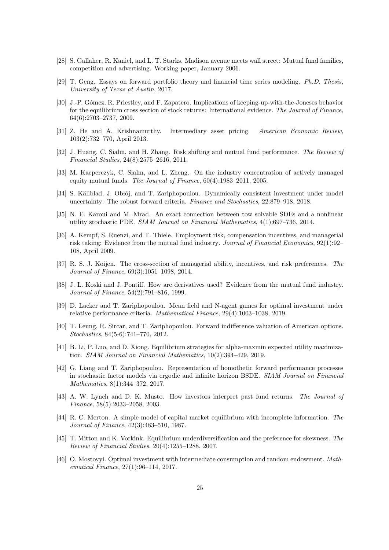- [28] S. Gallaher, R. Kaniel, and L. T. Starks. Madison avenue meets wall street: Mutual fund families, competition and advertising. Working paper, January 2006.
- [29] T. Geng. Essays on forward portfolio theory and financial time series modeling. Ph.D. Thesis, University of Texas at Austin, 2017.
- [30] J.-P. Gómez, R. Priestley, and F. Zapatero. Implications of keeping-up-with-the-Joneses behavior for the equilibrium cross section of stock returns: International evidence. The Journal of Finance, 64(6):2703–2737, 2009.
- [31] Z. He and A. Krishnamurthy. Intermediary asset pricing. American Economic Review, 103(2):732–770, April 2013.
- [32] J. Huang, C. Sialm, and H. Zhang. Risk shifting and mutual fund performance. The Review of Financial Studies, 24(8):2575–2616, 2011.
- [33] M. Kacperczyk, C. Sialm, and L. Zheng. On the industry concentration of actively managed equity mutual funds. The Journal of Finance, 60(4):1983–2011, 2005.
- [34] S. Källblad, J. Oblój, and T. Zariphopoulou. Dynamically consistent investment under model uncertainty: The robust forward criteria. Finance and Stochastics, 22:879–918, 2018.
- [35] N. E. Karoui and M. Mrad. An exact connection between tow solvable SDEs and a nonlinear utility stochastic PDE. SIAM Journal on Financial Mathematics, 4(1):697–736, 2014.
- [36] A. Kempf, S. Ruenzi, and T. Thiele. Employment risk, compensation incentives, and managerial risk taking: Evidence from the mutual fund industry. Journal of Financial Economics, 92(1):92– 108, April 2009.
- [37] R. S. J. Koijen. The cross-section of managerial ability, incentives, and risk preferences. The Journal of Finance, 69(3):1051–1098, 2014.
- [38] J. L. Koski and J. Pontiff. How are derivatives used? Evidence from the mutual fund industry. Journal of Finance, 54(2):791–816, 1999.
- [39] D. Lacker and T. Zariphopoulou. Mean field and N-agent games for optimal investment under relative performance criteria. Mathematical Finance, 29(4):1003–1038, 2019.
- [40] T. Leung, R. Sircar, and T. Zariphopoulou. Forward indifference valuation of American options. Stochastics, 84(5-6):741–770, 2012.
- [41] B. Li, P. Luo, and D. Xiong. Equilibrium strategies for alpha-maxmin expected utility maximization. SIAM Journal on Financial Mathematics, 10(2):394–429, 2019.
- [42] G. Liang and T. Zariphopoulou. Representation of homothetic forward performance processes in stochastic factor models via ergodic and infinite horizon BSDE. SIAM Journal on Financial Mathematics, 8(1):344–372, 2017.
- [43] A. W. Lynch and D. K. Musto. How investors interpret past fund returns. The Journal of Finance, 58(5):2033–2058, 2003.
- [44] R. C. Merton. A simple model of capital market equilibrium with incomplete information. The Journal of Finance, 42(3):483–510, 1987.
- [45] T. Mitton and K. Vorkink. Equilibrium underdiversification and the preference for skewness. The Review of Financial Studies, 20(4):1255–1288, 2007.
- [46] O. Mostovyi. Optimal investment with intermediate consumption and random endowment. Mathematical Finance, 27(1):96–114, 2017.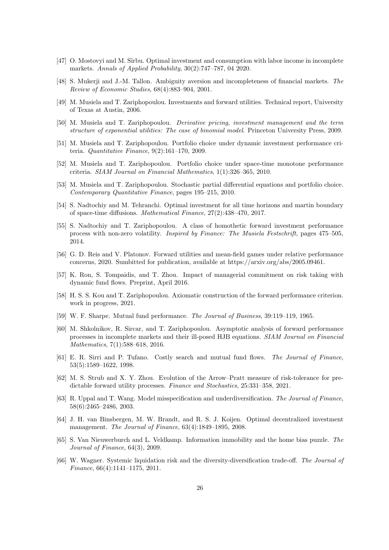- [47] O. Mostovyi and M. Sîrbu. Optimal investment and consumption with labor income in incomplete markets. Annals of Applied Probability, 30(2):747–787, 04 2020.
- [48] S. Mukerji and J.-M. Tallon. Ambiguity aversion and incompleteness of financial markets. The Review of Economic Studies, 68(4):883–904, 2001.
- [49] M. Musiela and T. Zariphopoulou. Investments and forward utilities. Technical report, University of Texas at Austin, 2006.
- [50] M. Musiela and T. Zariphopoulou. Derivative pricing, investment management and the term structure of exponential utilities: The case of binomial model. Princeton University Press, 2009.
- [51] M. Musiela and T. Zariphopoulou. Portfolio choice under dynamic investment performance criteria. Quantitative Finance, 9(2):161–170, 2009.
- [52] M. Musiela and T. Zariphopoulou. Portfolio choice under space-time monotone performance criteria. SIAM Journal on Financial Mathematics, 1(1):326–365, 2010.
- [53] M. Musiela and T. Zariphopoulou. Stochastic partial differential equations and portfolio choice. Contemporary Quantitative Finance, pages 195–215, 2010.
- [54] S. Nadtochiy and M. Tehranchi. Optimal investment for all time horizons and martin boundary of space-time diffusions. Mathematical Finance, 27(2):438–470, 2017.
- [55] S. Nadtochiy and T. Zariphopoulou. A class of homothetic forward investment performance process with non-zero volatility. Inspired by Finance: The Musiela Festschrift, pages 475–505, 2014.
- [56] G. D. Reis and V. Platonov. Forward utilities and mean-field games under relative performance concerns, 2020. Sumbitted for publication, available at https://arxiv.org/abs/2005.09461.
- [57] K. Ron, S. Tompaidis, and T. Zhou. Impact of managerial commitment on risk taking with dynamic fund flows. Preprint, April 2016.
- [58] H. S. S. Kou and T. Zariphopoulou. Axiomatic construction of the forward performance criterion. work in progress, 2021.
- [59] W. F. Sharpe. Mutual fund performance. The Journal of Business, 39:119–119, 1965.
- [60] M. Shkolnikov, R. Sircar, and T. Zariphopoulou. Asymptotic analysis of forward performance processes in incomplete markets and their ill-posed HJB equations. SIAM Journal on Financial Mathematics, 7(1):588–618, 2016.
- [61] E. R. Sirri and P. Tufano. Costly search and mutual fund flows. The Journal of Finance, 53(5):1589–1622, 1998.
- [62] M. S. Strub and X. Y. Zhou. Evolution of the Arrow–Pratt measure of risk-tolerance for predictable forward utility processes. Finance and Stochastics, 25:331–358, 2021.
- [63] R. Uppal and T. Wang. Model misspecification and underdiversification. The Journal of Finance, 58(6):2465–2486, 2003.
- [64] J. H. van Binsbergen, M. W. Brandt, and R. S. J. Koijen. Optimal decentralized investment management. The Journal of Finance, 63(4):1849–1895, 2008.
- [65] S. Van Nieuwerburch and L. Veldkamp. Information immobility and the home bias puzzle. The Journal of Finance, 64(3), 2009.
- [66] W. Wagner. Systemic liquidation risk and the diversity-diversification trade-off. The Journal of Finance, 66(4):1141–1175, 2011.